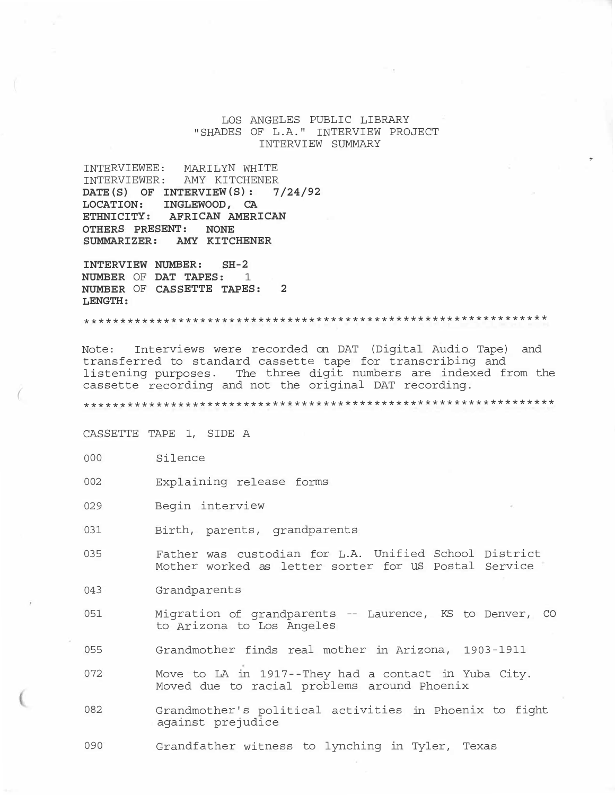# LOS ANGELES PUBLIC LIBRARY "SHADES OF L.A." INTERVIEW PROJECT INTERVIEW SUMMARY

,

INTERVIEWEE: MARILYN WHITE INTERVIEWER: AMY KITCHENER **DATE(S) OF INTERVIEW(S): 7/24/92 LOCATION: INGLEWOOD, CA ETHNICITY: AFRICAN AMERICAN OTHERS PRESENT: NONE SUMMARIZER: AMY KITCHENER** 

**INTERVIEW NUMBER: SH-2 NUMBER** OF **DAT TAPES:** 1 **NUMBER** OF **CASSETTE TAPES: 2 LENGTH:** 

\*\*\*\*\*\*\*\*\*\*\*\*\*\*\*\*\*\*\*\*\*\*\*\*\*\*\*\*\*\*\*\*\*\*\*\*\*\*\*\*\*\*\*\*\*\*\*\*\*\*\*\*\*\*\*\*\*\*\*\*\*\*\*\*

Note: Interviews were recorded on DAT (Digital Audio Tape) and transferred to standard cassette tape for transcribing and listening purposes. The three digit numbers are indexed from the<br>cassette recording and not the original DAT recording.

cassette recording and not the original DAT recording. *(* \*\*\*\*\*\*\*\*\*\*\*\*\*\*\*\*\*\*\*\*\*\*\*\*\*\*\*\*\*\*\*\*\*\*\*\*\*\*\*\*\*\*\*\*\*\*\*\*\*\*\*\*\*\*\*\*\*\*\*\*\*\*\*\*\*

CASSETTE TAPE 1, SIDE A

- 000 Silence
- 002 Explaining release forms
- 029 Begin interview
- 031 Birth, parents, grandparents
- 035 Father was custodian for L.A. Unified School District Mother worked as letter sorter for us Postal Service
- 043 Grandparents
- 051 Migration of grandparents -- Laurence, KS to Denver, co to Arizona to Los Angeles
- 055 Grandmother finds real mother in Arizona, 1903-1911
- 072 Move to LA in 1917--They had a contact in Yuba City. Moved due to racial problems around Phoenix
- 082 Grandmother's political activities in Phoenix to fight against prejudice
- 090 Grandfather witness to lynching in Tyler, Texas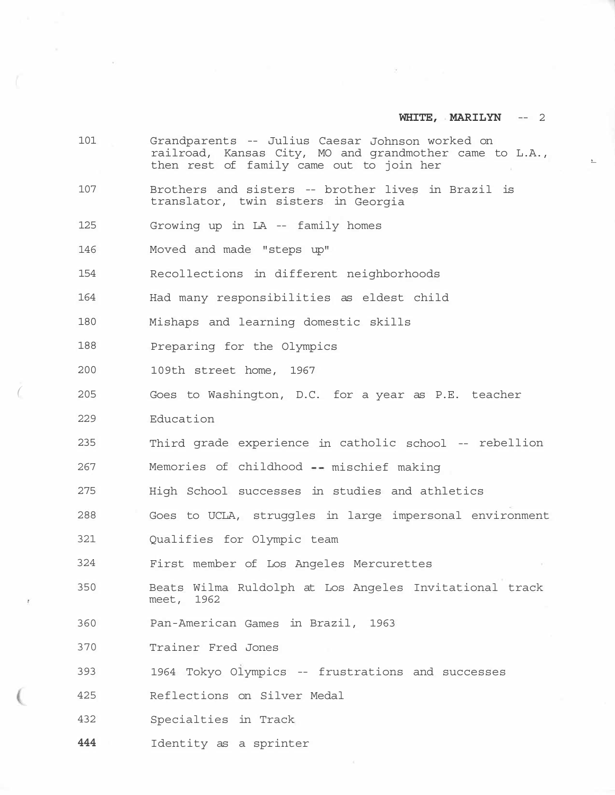$\overline{\mathcal{L}}$ 

|   | 101 | Grandparents -- Julius Caesar Johnson worked on<br>railroad, Kansas City, MO and grandmother came to L.A.,<br>then rest of family came out to join her |
|---|-----|--------------------------------------------------------------------------------------------------------------------------------------------------------|
|   | 107 | Brothers and sisters -- brother lives in Brazil is<br>translator, twin sisters in Georgia                                                              |
|   | 125 | Growing up in LA -- family homes                                                                                                                       |
|   | 146 | Moved and made "steps up"                                                                                                                              |
|   | 154 | Recollections in different neighborhoods                                                                                                               |
|   | 164 | Had many responsibilities as eldest child                                                                                                              |
|   | 180 | Mishaps and learning domestic skills                                                                                                                   |
|   | 188 | Preparing for the Olympics                                                                                                                             |
|   | 200 | 109th street home, 1967                                                                                                                                |
|   | 205 | Goes to Washington, D.C. for a year as P.E. teacher                                                                                                    |
|   | 229 | Education                                                                                                                                              |
|   | 235 | Third grade experience in catholic school -- rebellion                                                                                                 |
|   | 267 | Memories of childhood -- mischief making                                                                                                               |
|   | 275 | High School successes in studies and athletics                                                                                                         |
|   | 288 | Goes to UCLA, struggles in large impersonal environment                                                                                                |
|   | 321 | Qualifies for Olympic team                                                                                                                             |
|   | 324 | First member of Los Angeles Mercurettes                                                                                                                |
| × | 350 | Beats Wilma Ruldolph at Los Angeles Invitational track<br>meet, 1962                                                                                   |
|   | 360 | Pan-American Games in Brazil, 1963                                                                                                                     |
|   | 370 | Trainer Fred Jones                                                                                                                                     |
|   | 393 | 1964 Tokyo Olympics -- frustrations and successes                                                                                                      |
|   | 425 | Reflections on Silver Medal                                                                                                                            |
|   | 432 | Specialties in Track                                                                                                                                   |

**444** Identity as a sprinter

 $\sim$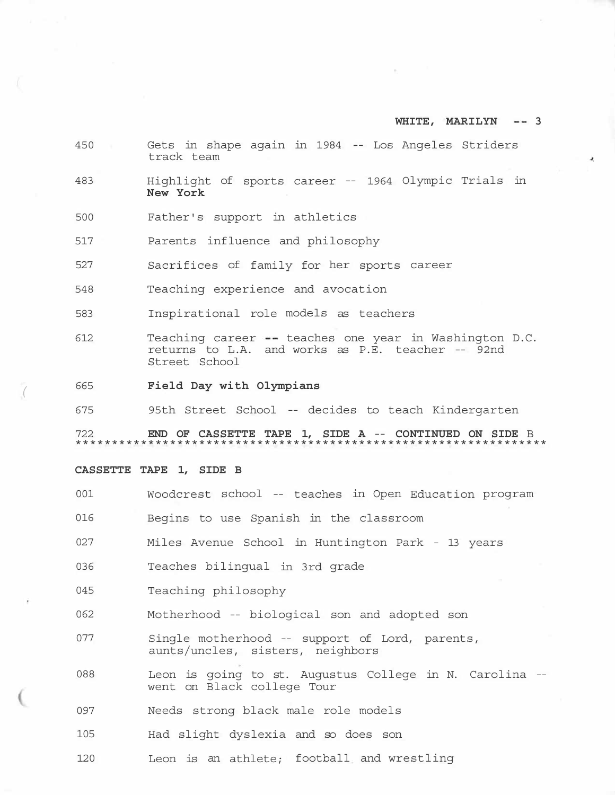- 450 Gets in shape again in 1984 -- Los Angeles Striders track team
- 483 Highlight of sports career -- 1964 Olympic Trials in **New York**
- 500 Father's support in athletics
- 517 Parents influence and philosophy
- 527 Sacrifices of family for her sports career
- 548 Teaching experience and avocation
- 583 Inspirational role models as teachers
- 612 Teaching career -- teaches one year in Washington D.C. returns to L.A. and works as P.E. teacher -- 92nd Street School
- <sup>665</sup>**Field Day with Olympians** *(*
- 675 95th Street School -- decides to teach Kindergarten

722 **END OF CASSETTE TAPE 1, SIDE A** -- **CONTINUED ON SIDE** B \*\*\*\*\*\*\*\*\*\*\*\*\*\*\*\*\*\*\*\*\*\*\*\*\*\*\*\*\*\*\*\*\*\*\*\*\*\*\*\*\*\*\*\*\*\*\*\*\*\*\*\*\*\*\*\*\*\*\*\*\*\*\*\*\*

#### **CASSETTE TAPE 1, SIDE B**

001 Woodcrest school -- teaches in Open Education program 016 Begins to use Spanish in the classroom 027 Miles Avenue School in Huntington Park - 13 years 036 Teaches bilingual in 3rd grade 045 Teaching philosophy 062 Motherhood -- biological son and adopted son 077 Single motherhood -- support of Lord, parents, aunts/uncles, sisters, neighbors 088 Leon is going to st. Augustus College in N. Carolina - went on Black college Tour 097 Needs strong black male role models 105 Had slight dyslexia and so does son 120 Leon is an athlete; football and wrestling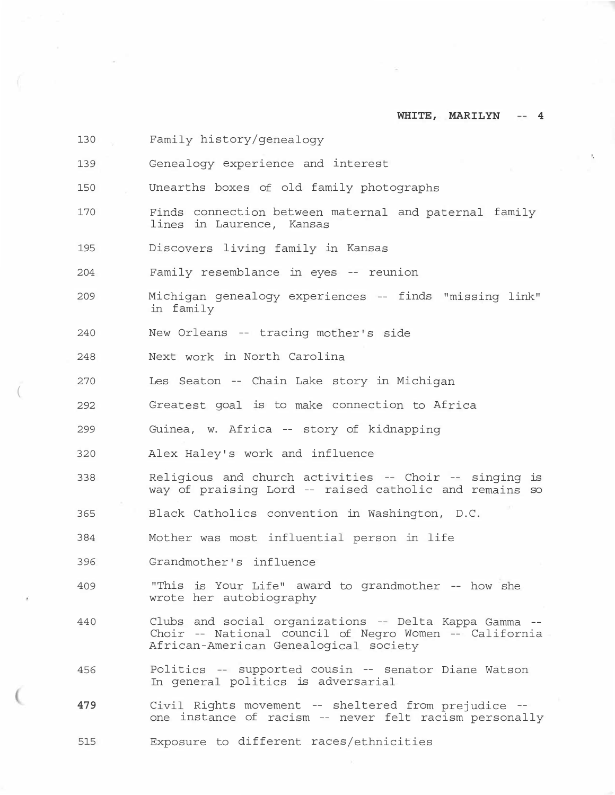| 130 | Family history/genealogy                                                                                                                                  |  |
|-----|-----------------------------------------------------------------------------------------------------------------------------------------------------------|--|
| 139 | $\mathbf{L}$<br>Genealogy experience and interest                                                                                                         |  |
| 150 | Unearths boxes of old family photographs                                                                                                                  |  |
| 170 | Finds connection between maternal and paternal family<br>lines in Laurence, Kansas                                                                        |  |
| 195 | Discovers living family in Kansas                                                                                                                         |  |
| 204 | Family resemblance in eyes -- reunion                                                                                                                     |  |
| 209 | Michigan genealogy experiences -- finds "missing link"<br>in family                                                                                       |  |
| 240 | New Orleans -- tracing mother's side                                                                                                                      |  |
| 248 | Next work in North Carolina                                                                                                                               |  |
| 270 | Les Seaton -- Chain Lake story in Michigan                                                                                                                |  |
| 292 | Greatest goal is to make connection to Africa                                                                                                             |  |
| 299 | Guinea, w. Africa -- story of kidnapping                                                                                                                  |  |
| 320 | Alex Haley's work and influence                                                                                                                           |  |
| 338 | Religious and church activities -- Choir -- singing is<br>way of praising Lord -- raised catholic and remains so                                          |  |
| 365 | Black Catholics convention in Washington, D.C.                                                                                                            |  |
| 384 | Mother was most influential person in life                                                                                                                |  |
| 396 | Grandmother's influence                                                                                                                                   |  |
| 409 | "This is Your Life" award to grandmother -- how she<br>wrote her autobiography                                                                            |  |
| 440 | Clubs and social organizations -- Delta Kappa Gamma --<br>Choir -- National council of Negro Women -- California<br>African-American Genealogical society |  |
| 456 | Politics -- supported cousin -- senator Diane Watson<br>In general politics is adversarial                                                                |  |
| 479 | Civil Rights movement -- sheltered from prejudice --<br>one instance of racism -- never felt racism personally                                            |  |

(

515 Exposure to different races/ethnicities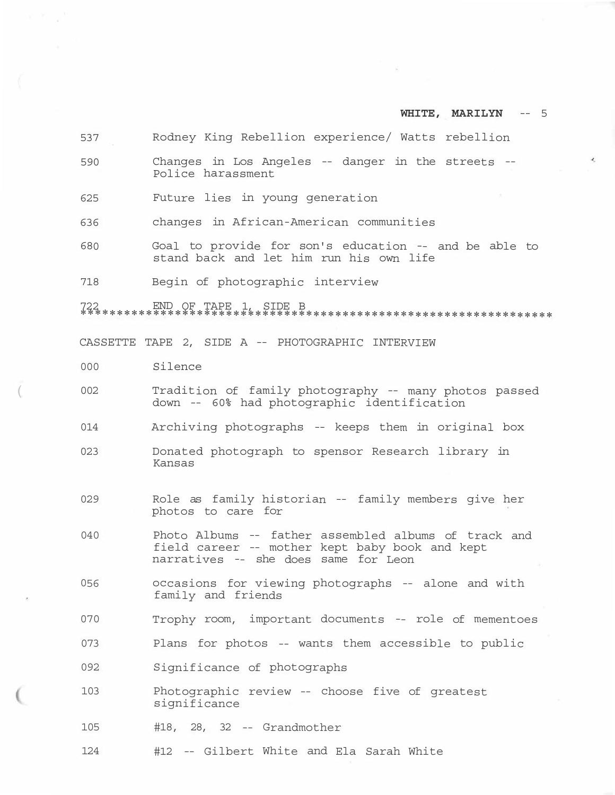| 537 | Rodney King Rebellion experience/ Watts rebellion                                                                                              |
|-----|------------------------------------------------------------------------------------------------------------------------------------------------|
| 590 | Changes in Los Angeles -- danger in the streets --<br>Police harassment                                                                        |
| 625 | Future lies in young generation                                                                                                                |
| 636 | changes in African-American communities                                                                                                        |
| 680 | Goal to provide for son's education -- and be able to<br>stand back and let him run his own life                                               |
| 718 | Begin of photographic interview                                                                                                                |
|     |                                                                                                                                                |
|     | CASSETTE TAPE 2, SIDE A -- PHOTOGRAPHIC INTERVIEW                                                                                              |
| 000 | Silence                                                                                                                                        |
| 002 | Tradition of family photography -- many photos passed<br>down -- 60% had photographic identification                                           |
| 014 | Archiving photographs -- keeps them in original box                                                                                            |
| 023 | Donated photograph to spensor Research library in<br>Kansas                                                                                    |
| 029 | Role as family historian -- family members give her<br>photos to care for                                                                      |
| 040 | Photo Albums -- father assembled albums of track and<br>field career -- mother kept baby book and kept<br>narratives -- she does same for Leon |
| 056 | occasions for viewing photographs -- alone and with<br>family and friends                                                                      |
| 070 | Trophy room, important documents -- role of mementoes                                                                                          |
| 073 | Plans for photos -- wants them accessible to public                                                                                            |
| 092 | Significance of photographs                                                                                                                    |
| 103 | Photographic review -- choose five of greatest<br>significance                                                                                 |
| 105 | $#18$ , 28, 32 -- Grandmother                                                                                                                  |
| 124 | #12 -- Gilbert White and Ela Sarah White                                                                                                       |
|     |                                                                                                                                                |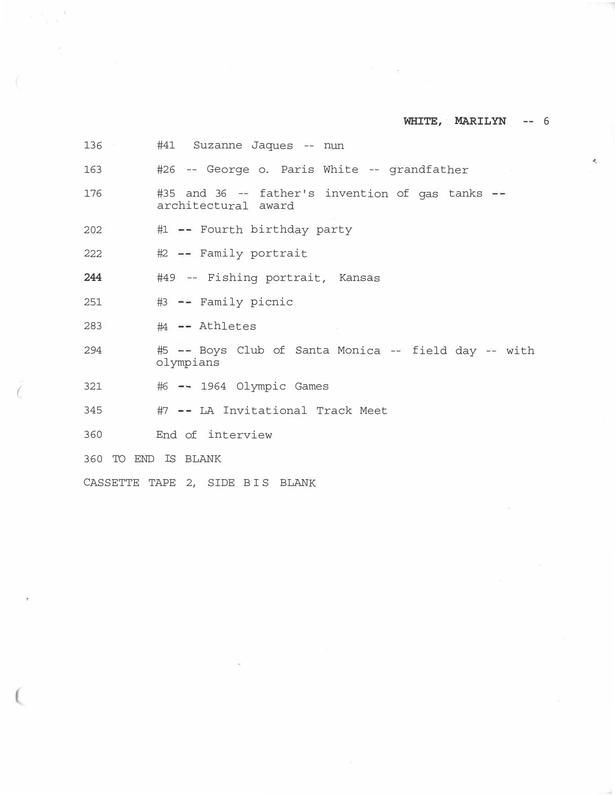iz.

| 136                 | #41 Suzanne Jaques -- nun                                               |
|---------------------|-------------------------------------------------------------------------|
| 163                 | #26 -- George o. Paris White -- grandfather                             |
| 176                 | #35 and 36 -- father's invention of gas tanks --<br>architectural award |
| 202                 | #1 -- Fourth birthday party                                             |
| 222                 | #2 -- Family portrait                                                   |
| 244                 | #49 -- Fishing portrait, Kansas                                         |
| 251                 | #3 -- Family picnic                                                     |
| 283                 | #4 -- Athletes                                                          |
| 294                 | #5 -- Boys Club of Santa Monica -- field day -- with<br>olympians       |
| 321                 | #6 -- 1964 Olympic Games                                                |
| 345                 | #7 -- LA Invitational Track Meet                                        |
| 360                 | End of interview                                                        |
| 360 TO END IS BLANK |                                                                         |
|                     | CASSETTE TAPE 2, SIDE BIS BLANK                                         |
|                     |                                                                         |

 $\sim 10^{-10}$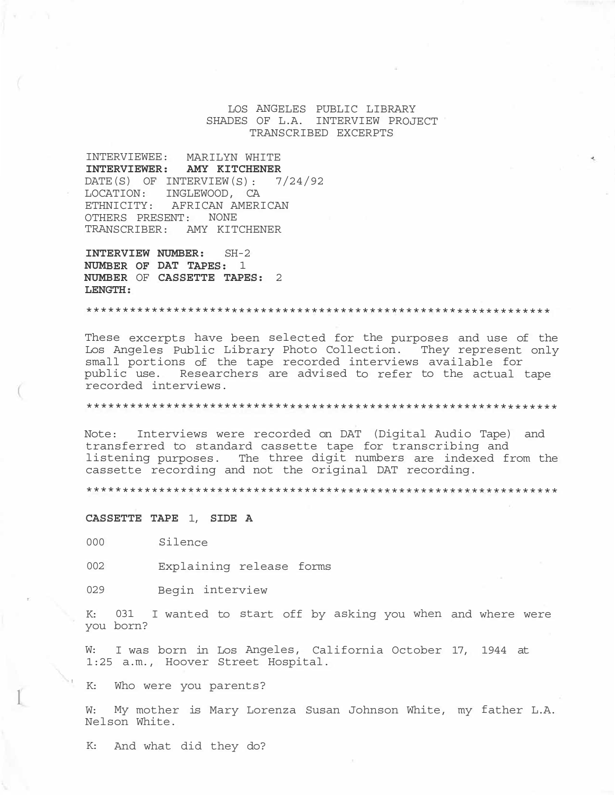LOS ANGELES PUBLIC LIBRARY SHADES OF L.A. INTERVIEW PROJECT TRANSCRIBED EXCERPTS

INTERVIEWEE: MARILYN WHITE **INTERVIEWER: AMY KITCHENER**  DATE(S) OF INTERVIEW(S): 7/24/92 LOCATION: INGLEWOOD, CA ETHNICITY: AFRICAN AMERICAN OTHERS PRESENT: NONE TRANSCRIBER: AMY KITCHENER

**INTERVIEW NUMBER:** SH-2 **NUMBER OF DAT TAPES:** 1 **NUMBER** OF **CASSETTE TAPES:** 2 **LENGTH:** 

\*\*\*\*\*\*\*\*\*\*\*\*\*\*\*\*\*\*\*\*\*\*\*\*\*\*\*\*\*\*\*\*\*\*\*\*\*\*\*\*\*\*\*\*\*\*\*\*\*\*\*\*\*\*\*\*\*\*\*\*\*\*\*\*

These excerpts have been selected for the purposes and use of the Los Angeles Public Library Photo Collection. They represent only small portions of the tape recorded interviews available for public use. Researchers are advised to refer to the actual tape recorded interviews.

\*\*\*\*\*\*\*\*\*\*\*\*\*\*\*\*\*\*\*\*\*\*\*\*\*\*\*\*\*\*\*\*\*\*\*\*\*\*\*\*\*\*\*\*\*\*\*\*\*\*\*\*\*\*\*\*\*\*\*\*\*\*\*\*\*

Note: Interviews were recorded on DAT (Digital Audio Tape) and transferred to standard cassette tape for transcribing and listening purposes. The three digit numbers are indexed from the cassette recording and not the original DAT recording.

\*\*\*\*\*\*\*\*\*\*\*\*\*\*\*\*\*\*\*\*\*\*\*\*\*\*\*\*\*\*\*\*\*\*\*\*\*\*\*\*\*\*\*\*\*\*\*\*\*\*\*\*\*\*\*\*\*\*\*\*\*\*\*\*\*

#### **CASSETTE TAPE** 1, **SIDE A**

000 Silence

002 Explaining release forms

029 Begin interview

K: 031 I wanted to start off by asking you when and where were you born?

W: I was born in Los Angeles, California October 17, 1944 at 1:25 a.m., Hoover Street Hospital.

K: Who were you parents?

l

W: My mother is Mary Lorenza Susan Johnson White, my father L.A. Nelson White.

K: And what did they do?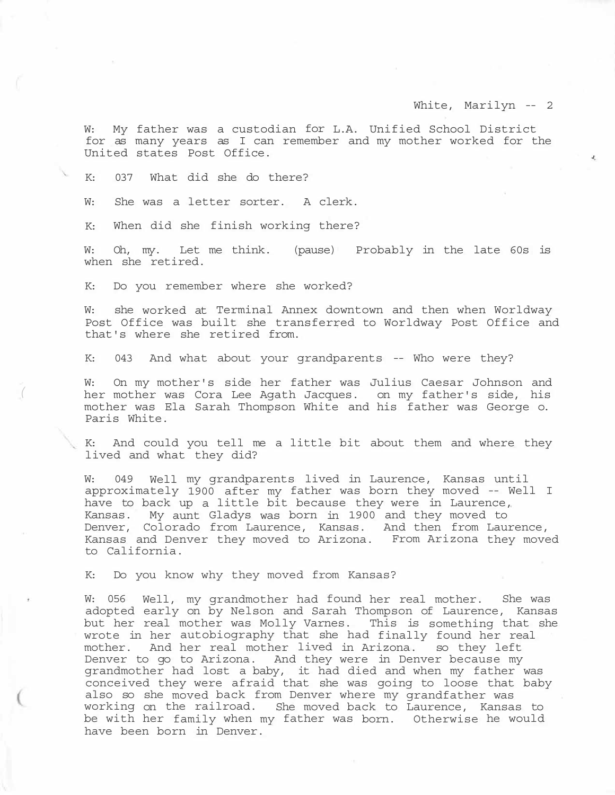¥,

W: My father was a custodian for L.A. Unified School District for as many years as I can remember and my mother worked for the United states Post Office.

K: 037 What did she do there?

W: She was a letter sorter. A clerk.

K: When did she finish working there?

W: Oh, my. Let me think. (pause) Probably in the late 60s is when she retired.

K: Do you remember where she worked?

*(* 

W: she worked at Terminal Annex downtown and then when Worldway Post Office was built she transferred to Worldway Post Office and that's where she retired from.

K: 043 And what about your grandparents -- Who were they?

W: On my mother's side her father was Julius Caesar Johnson and her mother was Cora Lee Agath Jacques. on my father's side, his mother was Ela Sarah Thompson White and his father was George o. Paris White.

K: And could you tell me a little bit about them and where they lived and what they did?

W: 049 Well my grandparents lived in Laurence, Kansas until approximately 1900 after my father was born they moved -- Well I have to back up a little bit because they were in Laurence, Kansas. My aunt Gladys was born in 1900 and they moved to Denver, Colorado from Laurence, Kansas. And then from Laurence, Kansas and Denver they moved to Arizona. From Arizona they moved to California.

K: Do you know why they moved from Kansas?

W: 056 Well, my grandmother had found her real mother. She was adopted early on by Nelson and Sarah Thompson of Laurence, Kansas but her real mother was Molly Varnes. This is something that she wrote in her autobiography that she had finally found her real mother. And her real mother lived in Arizona. so they left Denver to go to Arizona. And they were in Denver because my grandmother had lost a baby, it had died and when my father was conceived they were afraid that she was going to loose that baby also so she moved back from Denver where my grandfather was working on the railroad. She moved back to Laurence, Kansas to be with her family when my father was born. Otherwise he would have been born in Denver.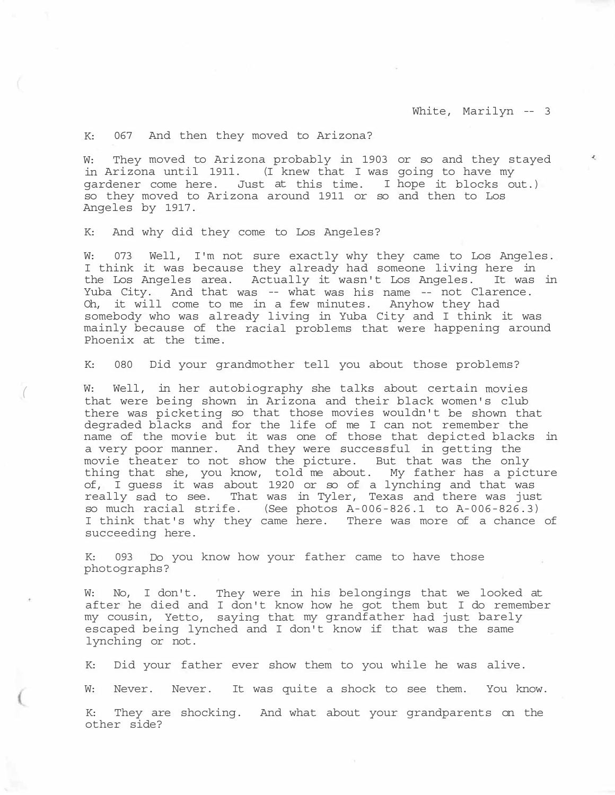K: 067 And then they moved to Arizona?

W: They moved to Arizona probably in 1903 or so and they stayed in Arizona until 1911. (I knew that I was going to have my gardener come here. Just at this time. I hope it blocks out.) so they moved to Arizona around 1911 or so and then to Los Angeles by 1917.

K: And why did they come to Los Angeles?

*(* 

W: 073 Well, I'm not sure exactly why they came to Los Angeles. I think it was because they already had someone living here in the Los Angeles area. Actually it wasn't Los Angeles. It was in Yuba City. And that was -- what was his name -- not Clarence. Oh, it will come to me in a few minutes. Anyhow they had somebody who was already living in Yuba City and I think it was mainly because of the racial problems that were happening around Phoenix at the time.

K: 080 Did your grandmother tell you about those problems?

W: Well, in her autobiography she talks about certain movies that were being shown in Arizona and their black women's club there was picketing so that those movies wouldn't be shown that degraded blacks and for the life of me I can not remember the name of the movie but it was one of those that depicted blacks in a very poor manner. And they were successful in getting the movie theater to not show the picture. But that was the only movie theater to not show the picture. thing that she, you know, told me about. My father has a picture of, I guess it was about 1920 or so of a lynching and that was really sad to see. That was in Tyler, Texas and there was just so much racial strife. (See photos A-006-826.1 to A-006-826.3) I think that's why they came here. There was more of a chance of succeeding here.

K: 093 Do you know how your father came to have those photographs?

W: No, I don't. They were in his belongings that we looked at after he died and I don't know how he got them but I do remember my cousin, Yetto, saying that my grandfather had just barely escaped being lynched and I don't know if that was the same lynching or not.

K: Did your father ever show them to you while he was alive.

W: Never. Never. It was quite a shock to see them. You know.

K: They are shocking. And what about your grandparents on the other side?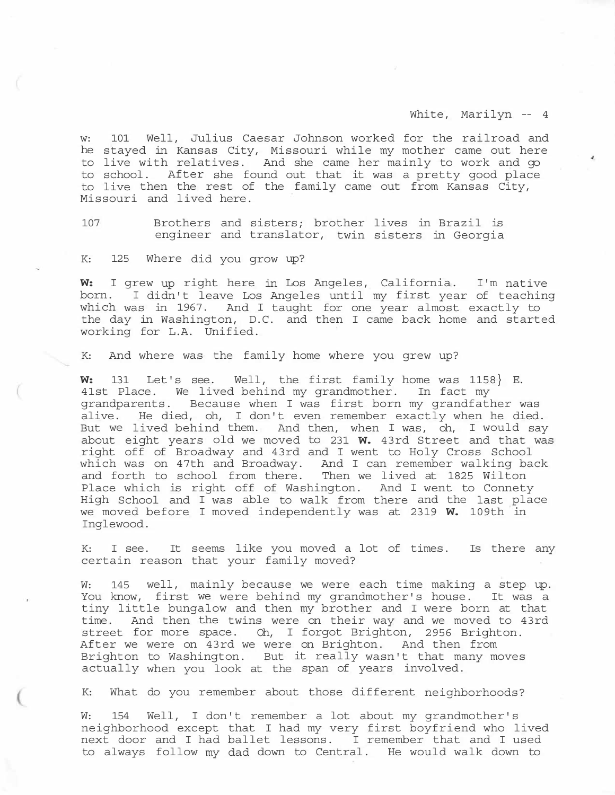¥,

w: 101 Well, Julius Caesar Johnson worked for the railroad and he stayed in Kansas City, Missouri while my mother came out here to live with relatives. And she came her mainly to work and go to school. After she found out that it was a pretty good place to live then the rest of the family came out from Kansas City, Missouri and lived here.

107 Brothers and sisters; brother lives in Brazil is engineer and translator, twin sisters in Georgia

K: 125 Where did you grow up?

**W:** I grew up right here in Los Angeles, California. I'm native born. I didn't leave Los Angeles until my first year of teaching which was in 1967. And I taught for one year almost exactly to the day in Washington, D.C. and then I came back home and started working for L.A. Unified.

K: And where was the family home where you grew up?

**W:** 131 Let's see. Well, the first family home was 1158} E. 41st Place. We lived behind my grandmother. In fact my grandparents. Because when I was first born my grandfather was alive. He died, oh, I don't even remember exactly when he died. But we lived behind them. And then, when I was, oh, I would say about eight years old we moved to 231 **W.** 43rd Street and that was right off of Broadway and 43rd and I went to Holy Cross School which was on 47th and Broadway. And I can remember walking back and forth to school from there. Then we lived at 1825 Wilton Place which is right off of Washington. And I went to Connety High School and I was able to walk from there and the last place we moved before I moved independently was at 2319 **W.** 109th in Inglewood.

K: I see. It seems like you moved a lot of times. Is there any certain reason that your family moved?

W: 145 well, mainly because we were each time making a step up. You know, first we were behind my grandmother's house. It was a tiny little bungalow and then my brother and I were born at that time. And then the twins were on their way and we moved to 43rd street for more space. Oh, I forgot Brighton, 2956 Brighton. After we were on 43rd we were on Brighton. And then from Brighton to Washington. But it really wasn't that many moves actually when you look at the span of years involved.

K: What do you remember about those different neighborhoods?

W: 154 Well, I don't remember a lot about my grandmother's neighborhood except that I had my very first boyfriend who lived next door and I had ballet lessons. I remember that and I used to always follow my dad down to Central. He would walk down to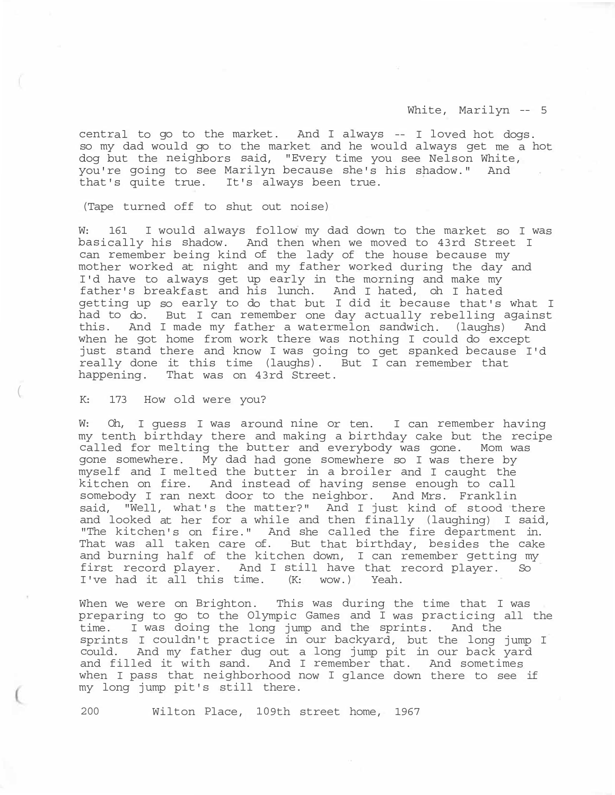central to go to the market. And I always -- I loved hot dogs. so my dad would go to the market and he would always get me a hot dog but the neighbors said, "Every time you see Nelson White, you're going to see Marilyn because she's his shadow." And that's quite true. It's always been true.

(Tape turned off to shut out noise)

W: 161 I would always follow my dad down to the market so I was basically his shadow. And then when we moved to 43rd Street I can remember being kind of the lady of the house because my mother worked at night and my father worked during the day and I'd have to always get up early in the morning and make my father's breakfast and his lunch. And I hated, oh I hated getting up so early to do that but I did it because that's what I had to do. But I can remember one day actually rebelling against this. And I made my father a watermelon sandwich. (laughs) And when he got home from work there was nothing I could do except just stand there and know I was going to get spanked because I'd really done it this time (laughs). But I can remember that happening. That was on 43rd Street.

K: 173 How old were you?

W: Oh, I guess I was around nine or ten. I can remember having my tenth birthday there and making a birthday cake but the recipe called for melting the butter and everybody was gone. Mom was gone somewhere. My dad had gone somewhere so I was there by myself and I melted the butter in a broiler and I caught the kitchen on fire. And instead of having sense enough to call somebody I ran next door to the neighbor. And Mrs. Franklin said, "Well, what's the matter?" And I just kind of stood there and looked at her for a while and then finally (laughing) I said, "The kitchen's on fire." And she called the fire department in. That was all taken care of. But that birthday, besides the cake and burning half of the kitchen down, I can remember getting my first record player. And I still have that record player. So I've had it all this time. (K: wow.) Yeah.

When we were on Brighton. This was during the time that I was preparing to go to the Olympic Games and I was practicing all the time. I was doing the long jump and the sprints. And the sprints I couldn't practice in our backyard, but the long jump I could. And my father dug out a long jump pit in our back yard and filled it with sand. And I remember that. And sometimes when I pass that neighborhood now I glance down there to see if my long jump pit's still there.

200 Wilton Place, 109th street home, 1967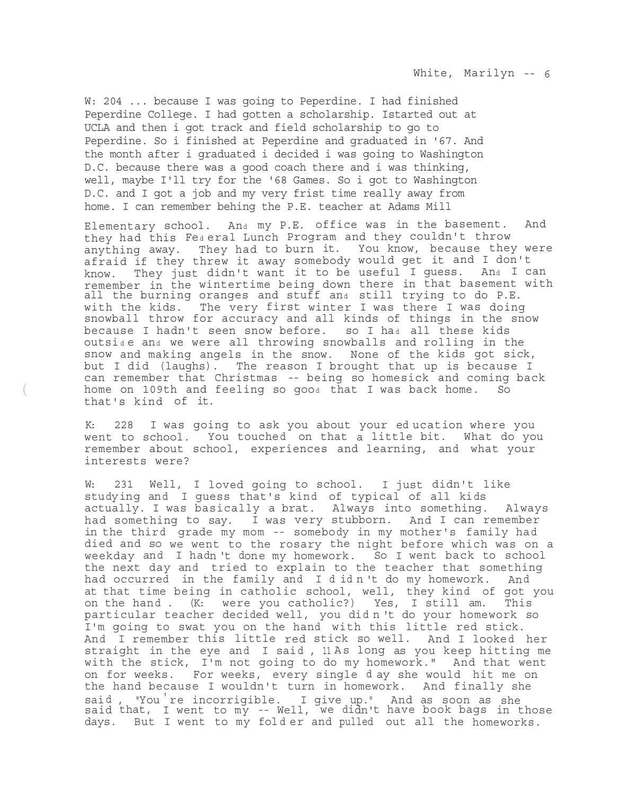W: 204 ... because I was going to Peperdine. I had finished Peperdine College. I had gotten a scholarship. Istarted out at UCLA and then i got track and field scholarship to go to Peperdine. So i finished at Peperdine and graduated in '67. And the month after i graduated i decided i was going to Washington D.C. because there was a good coach there and i was thinking, well, maybe I'll try for the '68 Games. So i got to Washington D.C. and I got a job and my very frist time really away from home. I can remember behing the P.E. teacher at Adams Mill

Elementary school. And my P.E. office was in the basement. And they had this Fe<sup>d</sup> eral Lunch Program and they couldn't throw anything away. They had to burn it. You know, because they were afraid if they threw it away somebody would get it and I don't know. They just didn't want it to be useful I guess. And I can remember in the wintertime being down there in that basement with all the burning oranges and stuff and still trying to do P.E. with the kids. The very first winter I was there I was doing snowball throw for accuracy and all kinds of things in the snow because I hadn't seen snow before. so I had all these kids outside and we were all throwing snowballs and rolling in the snow and making angels in the snow. None of the kids got sick, but I did (laughs). The reason I brought that up is because I can remember that Christmas -- being so homesick and coming back home on 109th and feeling so good that I was back home. So that's kind of it.

K: 228 I was going to ask you about your ed ucation where you went to school. You touched on that a little bit. What do you remember about school, experiences and learning, and what your interests were?

(

W: 231 Well, I loved going to school. I just didn't like studying and I guess that's kind of typical of all kids actually. I was basically a brat. Always into something. Always had something to say. I was very stubborn. And I can remember in the third grade my mom -- somebody in my mother's family had died and so we went to the rosary the night before which was on a weekday and I hadn 't done my homework. So I went back to school the next day and tried to explain to the teacher that something had occurred in the family and I didn't do my homework. And at that time being in catholic school, well, they kind of got you on the hand . (K: were you catholic?) Yes, I still am. This particular teacher decided well, you did n 't do your homework so I'm going to swat you on the hand with this little red stick. And I remember this little red stick so well. And I looked her straight in the eye and I said, 11 As long as you keep hitting me with the stick, I'm not going to do my homework." And that went on for weeks. For weeks, every single d ay she would hit me on the hand because I wouldn't turn in homework. And finally she said, "You re incorrigible. I give up." And as soon as she said that, I went to my -- Well, we didn't have book bags in those days. But I went to my folder and pulled out all the homeworks.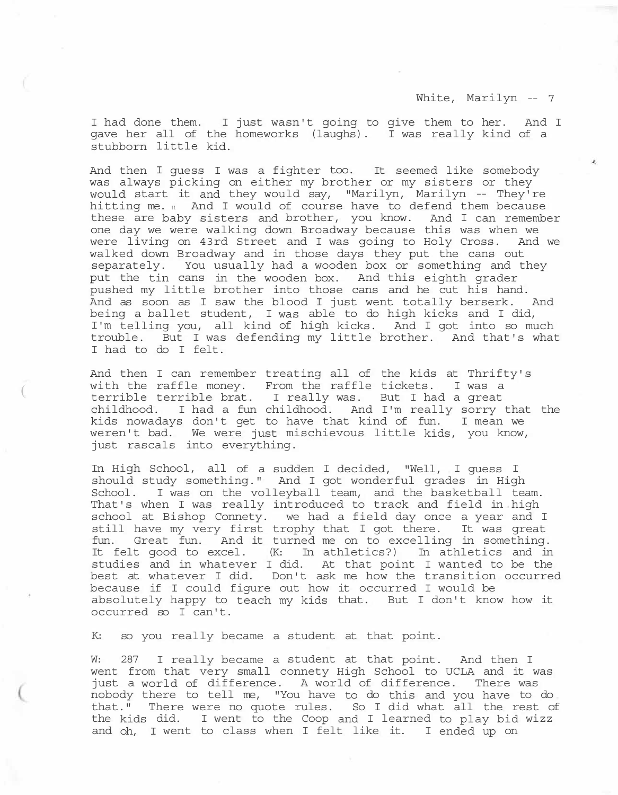$\lambda$ 

I had done them. I just wasn't going to give them to her. And I gave her all of the homeworks (laughs). I was really kind of a stubborn little kid.

And then I guess I was a fighter too. It seemed like somebody was always picking on either my brother or my sisters or they would start it and they would say, "Marilyn, Marilyn -- They're hitting me. 11 And I would of course have to defend them because these are baby sisters and brother, you know. And I can remember one day we were walking down Broadway because this was when we were living on 43rd Street and I was going to Holy Cross. And we walked down Broadway and in those days they put the cans out separately. You usually had a wooden box or something and they put the tin cans in the wooden box. And this eighth grader pushed my little brother into those cans and he cut his hand. And as soon as I saw the blood I just went totally berserk. And being a ballet student, I was able to do high kicks and I did, I'm telling you, all kind of high kicks. And I got into so much trouble. But I was defending my little brother. And that's what I had to do I felt.

And then I can remember treating all of the kids at Thrifty's with the raffle money. From the raffle tickets. I was a terrible terrible brat. I really was. But I had a great childhood. I had a fun childhood. And I'm really sorry that the kids nowadays don't get to have that kind of fun. I mean we weren't bad. We were just mischievous little kids, you know, just rascals into everything.

In High School, all of a sudden I decided, "Well, I guess I should study something." And I got wonderful grades in High School. I was on the volleyball team, and the basketball team. That's when I was really introduced to track and field in high school at Bishop Connety. we had a field day once a year and I still have my very first trophy that I got there. It was great fun. Great fun. And it turned me on to excelling in something. It felt good to excel. (K: In athletics?) In athletics and in studies and in whatever I did. At that point I wanted to be the best at whatever I did. Don't ask me how the transition occurred because if I could figure out how it occurred I would be absolutely happy to teach my kids that. But I don't know how it occurred so I can't.

K: so you really became a student at that point.

 $\left($ 

W: 287 I really became a student at that point. And then I went from that very small connety High School to UCLA and it was just a world of difference. A world of difference. There was nobody there to tell me, "You have to do this and you have to do that." There were no quote rules. So I did what all the rest of the kids did. I went to the Coop and I learned to play bid wizz and oh, I went to class when I felt like it. I ended up on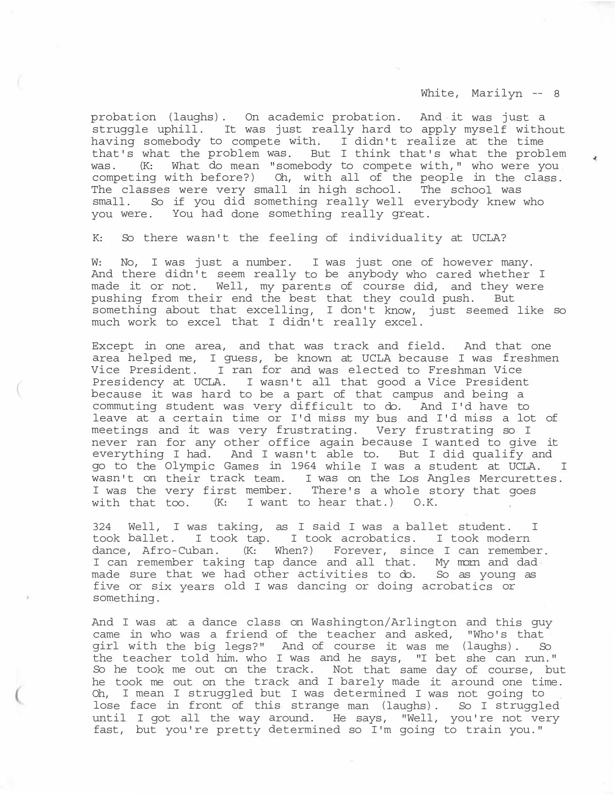probation (laughs). On academic probation. And it was just a struggle uphill. It was just really hard to apply myself without having somebody to compete with. I didn't realize at the time that's what the problem was. But I think that's what the problem was. (K: What do mean "somebody to compete with," who were you competing with before?) Oh, with all of the people in the class. The classes were very small in high school. The school was small. So if you did something really well everybody knew who you were. You had done something really great.

K: So there wasn't the feeling of individuality at UCLA?

W: No, I was just a number. I was just one of however many. And there didn't seem really to be anybody who cared whether I made it or not. Well, my parents of course did, and they were pushing from their end the best that they could push. But something about that excelling, I don't know, just seemed like so much work to excel that I didn't really excel.

Except in one area, and that was track and field. And that one area helped me, I guess, be known at UCLA because I was freshmen Vice President. I ran for and was elected to Freshman Vice Presidency at UCLA. I wasn't all that good a Vice President because it was hard to be a part of that campus and being a commuting student was very difficult to do. And I'd have to leave at a certain time or I'd miss my bus and I'd miss a lot of meetings and it was very frustrating. Very frustrating so I never ran for any other office again because I wanted to give it everything I had. And I wasn't able to. But I did qualify and go to the Olympic Games in 1964 while I was a student at UCLA. I wasn't on their track team. I was on the Los Angles Mercurettes. I was the very first member. There's a whole story that goes with that too. (K: I want to hear that.) O.K.

324 Well, I was taking, as I said I was a ballet student. I took ballet. I took tap. I took acrobatics. I took modern dance, Afro-Cuban. (K: When?) Forever, since I can remember. I can remember taking tap dance and all that. My morn and dad made sure that we had other activities to do. So as young as five or six years old I was dancing or doing acrobatics or something.

And I was at a dance class on Washington/Arlington and this guy came in who was a friend of the teacher and asked, "Who's that girl with the big legs?" And of course it was me (laughs). So the teacher told him. who I was and he says, "I bet she can run." So he took me out on the track. Not that same day of course, but he took me out on the track and I barely made it around one time. Oh, I mean I struggled but I was determined I was not going to lose face in front of this strange man (laughs). So I struggled until I got all the way around. He says, "Well, you're not very fast, but you're pretty determined so I'm going to train you."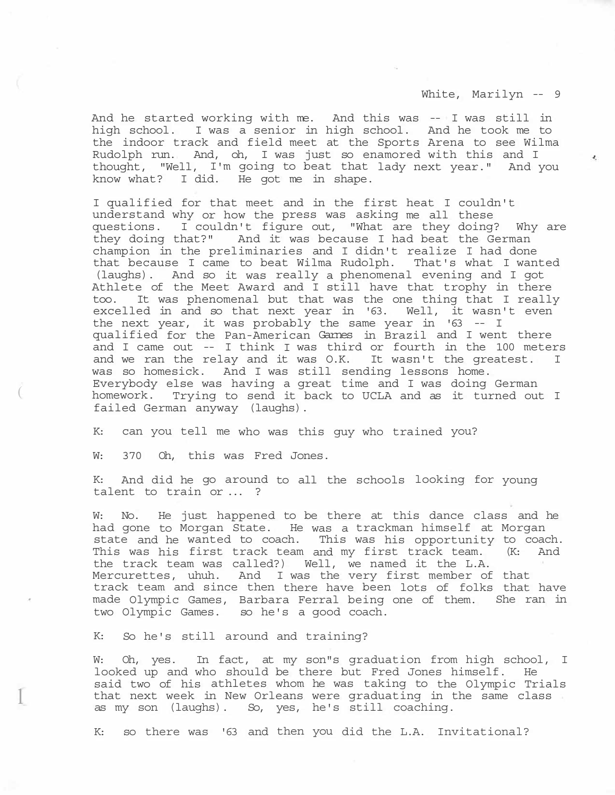$\mathcal{A}_{\mathcal{A}}$ 

And he started working with me. And this was -- I was still in high school. I was a senior in high school. And he took me to the indoor track and field meet at the Sports Arena to see Wilma Rudolph run. And, oh, I was just so enamored with this and I thought, "Well, I'm going to beat that lady next year." And you know what? I did. He got me in shape.

I qualified for that meet and in the first heat I couldn't understand why or how the press was asking me all these questions. I couldn't figure out, "What are they doing? Why are they doing that?" And it was because I had beat the German champion in the preliminaries and I didn't realize I had done that because I came to beat Wilma Rudolph. That's what I wanted (laughs). And so it was really a phenomenal evening and I got Athlete of the Meet Award and I still have that trophy in there too. It was phenomenal but that was the one thing that I really excelled in and so that next year in '63. Well, it wasn't even the next year, it was probably the same year in  $'5 - 1$ qualified for the Pan-American Garnes in Brazil and I went there and I came out -- I think I was third or fourth in the 100 meters and we ran the relay and it was O.K. It wasn't the greatest. I was so homesick. And I was still sending lessons home. Everybody else was having a great time and I was doing German homework. Trying to send it back to UCLA and as it turned out I failed German anyway (laughs).

K: can you tell me who was this guy who trained you?

W: 370 Oh, this was Fred Jones.

 $\overline{\left( \right. }$ 

K: And did he go around to all the schools looking for young talent to train or ... ?

W: No. He just happened to be there at this dance class and he had gone to Morgan State. He was a trackman himself at Morgan state and he wanted to coach. This was his opportunity to coach. This was his first track team and my first track team. (K: And the track team was called?) Well, we named it the L.A. Mercurettes, uhuh. And I was the very first member of that track team and since then there have been lots of folks that have made Olympic Games, Barbara Ferral being one of them. She ran in two Olympic Games. so he's a good coach.

K: So he's still around and training?

W: Oh, yes. In fact, at my son"s graduation from high school, I looked up and who should be there but Fred Jones himself. He said two of his athletes whom he was taking to the Olympic Trials that next week in New Orleans were graduating in the same class as my son (laughs). So, yes, he's still coaching. l

K: so there was '63 and then you did the L.A. Invitational?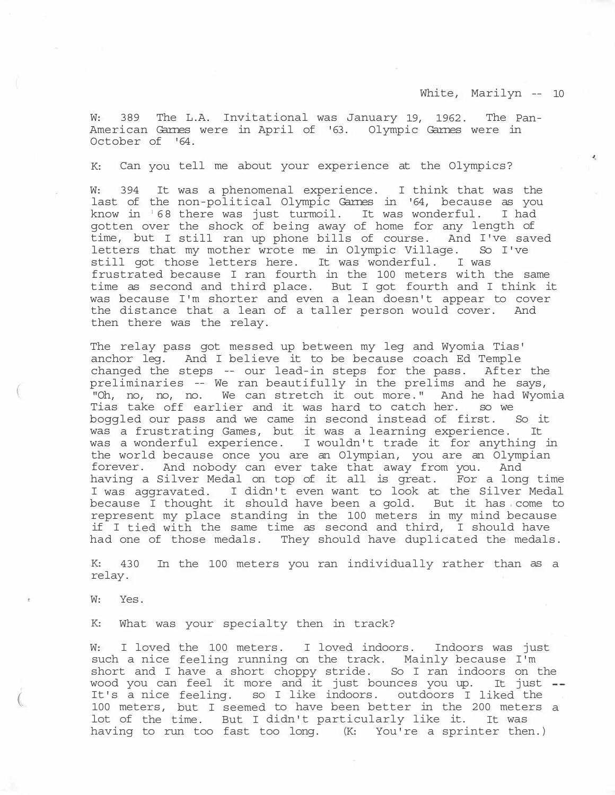¥,

W: 389 The L.A. Invitational was January 19, 1962. The Pan-American Garnes were in April of '63. Olympic Garnes were in October of '64.

K: Can you tell me about your experience at the Olympics?

W: 394 It was a phenomenal experience. I think that was the last of the non-political Olympic Garnes in '64, because as you know in <sup>1</sup> 68 there was just turmoil. It was wonderful. I had gotten over the shock of being away of home for any length of time, but I still ran up phone bills of course. And I've saved letters that my mother wrote me in Olympic Village. So I've still got those letters here. It was wonderful. I was frustrated because I ran fourth in the 100 meters with the same time as second and third place. But I got fourth and I think it was because I'm shorter and even a lean doesn't appear to cover the distance that a lean of a taller person would cover. And then there was the relay.

The relay pass got messed up between my leg and Wyomia Tias' anchor leg. And I believe it to be because coach Ed Temple changed the steps -- our lead-in steps for the pass. After the preliminaries -- We ran beautifully in the prelims and he says, "Oh, no, no, no. We can stretch it out more." And he had Wyomia Tias take off earlier and it was hard to catch her. so we boggled our pass and we came in second instead of first. So it was a frustrating Games, but it was a learning experience. It was a wonderful experience. I wouldn't trade it for anything in the world because once you are an Olympian, you are an Olympian forever. And nobody can ever take that away from you. And having a Silver Medal on top of it all is great. For a long time I was aggravated. I didn't even want to look at the Silver Medal<br>because I thought it should have been a gold. But it has come to because I thought it should have been a gold. represent my place standing in the 100 meters in my mind because if I tied with the same time as second and third, I should have had one of those medals. They should have duplicated the medals.

K: 430 In the 100 meters you ran individually rather than as a relay.

W: Yes.

 $($ 

K: What was your specialty then in track?

W: I loved the 100 meters. I loved indoors. Indoors was just such a nice feeling running on the track. Mainly because I'm short and I have a short choppy stride. So I ran indoors on the wood you can feel it more and it just bounces you up. It just --It's a nice feeling. so I like indoors. outdoors I liked the 100 meters, but I seemed to have been better in the 200 meters a lot of the time. But I didn't particularly like it. It was having to run too fast too long. (K: You're a sprinter then.)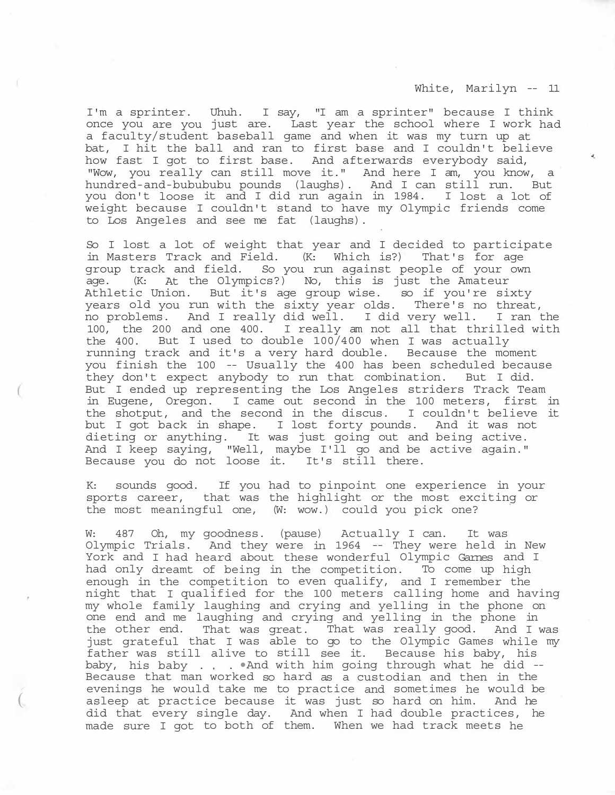I'm a sprinter. Uhuh. I say, "I am a sprinter" because I think once you are you just are. Last year the school where I work had a faculty/student baseball game and when it was my turn up at bat, I hit the ball and ran to first base and I couldn't believe how fast I got to first base. And afterwards everybody said, "Wow, you really can still move it." And here I am, you know, a hundred-and-bubububu pounds (laughs). And I can still run. But you don't loose it and I did run again in 1984. I lost a lot of weight because I couldn't stand to have my Olympic friends come to Los Angeles and see me fat (laughs).

So I lost a lot of weight that year and I decided to participate in Masters Track and Field. (K: Which is?) That's for age group track and field. So you run against people of your own age. (K: At the Olympics?) No, this is just the Amateur Athletic Union. But it's age group wise. so if you're sixty years old you run with the sixty year olds. There's no threat, no problems. And I really did well. I did very well. I ran the 100, the 200 and one 400. I really am not all that thrilled with the 400. But I used to double 100/400 when I was actually running track and it's a very hard double. Because the moment you finish the 100 -- Usually the 400 has been scheduled because they don't expect anybody to run that combination. But I did. But I ended up representing the Los Angeles striders Track Team in Eugene, Oregon. I came out second in the 100 meters, first in the shotput, and the second in the discus. I couldn't believe it but I got back in shape. I lost forty pounds. And it was not dieting or anything. It was just going out and being active. And I keep saying, "Well, maybe I'll go and be active again." Because you do not loose it. It's still there.

K: sounds good. If you had to pinpoint one experience in your sports career, that was the highlight or the most exciting or the most meaningful one, (W: wow.) could you pick one?

W: 487 Oh, my goodness. (pause) Actually I can. It was Olympic Trials. And they were in 1964 -- They were held in New York and I had heard about these wonderful Olympic Garnes and I had only dreamt of being in the competition. To come up high enough in the competition to even qualify, and I remember the night that I qualified for the 100 meters calling home and having my whole family laughing and crying and yelling in the phone on one end and me laughing and crying and yelling in the phone in the other end. That was great. That was really good. And I was just grateful that I was able to go to the Olympic Games while my father was still alive to still see it. Because his baby, his baby, his baby . . •And with him going through what he did -- Because that man worked so hard as a custodian and then in the evenings he would take me to practice and sometimes he would be asleep at practice because it was just so hard on him. And he did that every single day. And when I had double practices, he made sure I got to both of them. When we had track meets he

 $($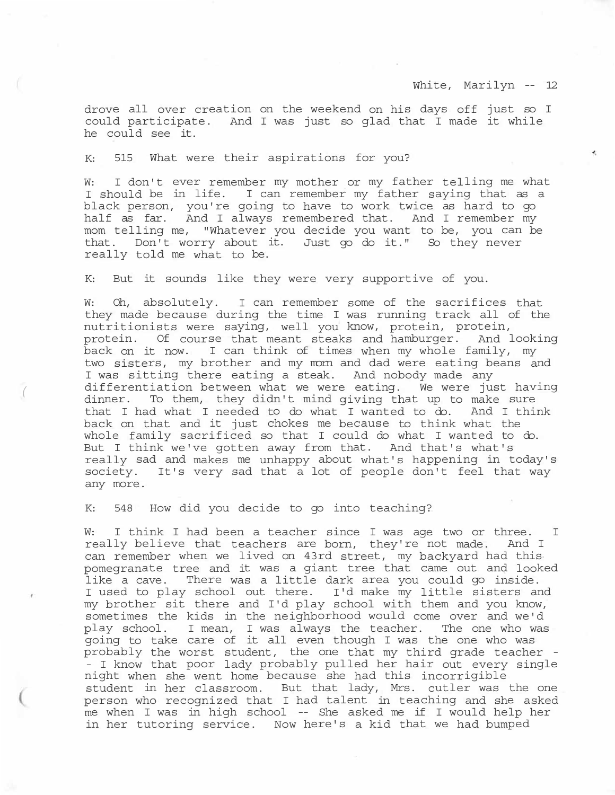¥,

drove all over creation on the weekend on his days off just so I could participate. And I was just so glad that I made it while he could see it.

K: 515 What were their aspirations for you?

W: I don't ever remember my mother or my father telling me what I should be in life. I can remember my father saying that as a black person, you're going to have to work twice as hard to go half as far. And I always remembered that. And I remember my mom telling me, "Whatever you decide you want to be, you can be that. Don't worry about it. Just go do it." So they never really told me what to be.

K: But it sounds like they were very supportive of you.

W: Oh, absolutely. I can remember some of the sacrifices that they made because during the time I was running track all of the nutritionists were saying, well you know, protein, protein, protein. Of course that meant steaks and hamburger. And looking back on it now. I can think of times when my whole family, my two sisters, my brother and my morn and dad were eating beans and I was sitting there eating a steak. And nobody made any differentiation between what we were eating. We were just having dinner. To them, they didn't mind giving that up to make sure that I had what I needed to do what I wanted to do. And I think back on that and it just chokes me because to think what the whole family sacrificed so that I could do what I wanted to do. But I think we've gotten away from that. And that's what's really sad and makes me unhappy about what's happening in today's society. It's very sad that a lot of people don't feel that way any more.

K: 548 How did you decide to go into teaching?

*(* 

W: I think I had been a teacher since I was age two or three. really believe that teachers are born, they're not made. And I can remember when we lived on 43rd street, my backyard had this pomegranate tree and it was a giant tree that came out and looked like a cave. There was a little dark area you could go inside. I used to play school out there. I'd make my little sisters and my brother sit there and I'd play school with them and you know, sometimes the kids in the neighborhood would come over and we'd play school. I mean, I was always the teacher. The one who was going to take care of it all even though I was the one who was probably the worst student, the one that my third grade teacher - - I know that poor lady probably pulled her hair out every single night when she went home because she had this incorrigible student in her classroom. But that lady, Mrs. cutler was the one person who recognized that I had talent in teaching and she asked me when I was in high school -- She asked me if I would help her in her tutoring service. Now here's a kid that we had bumped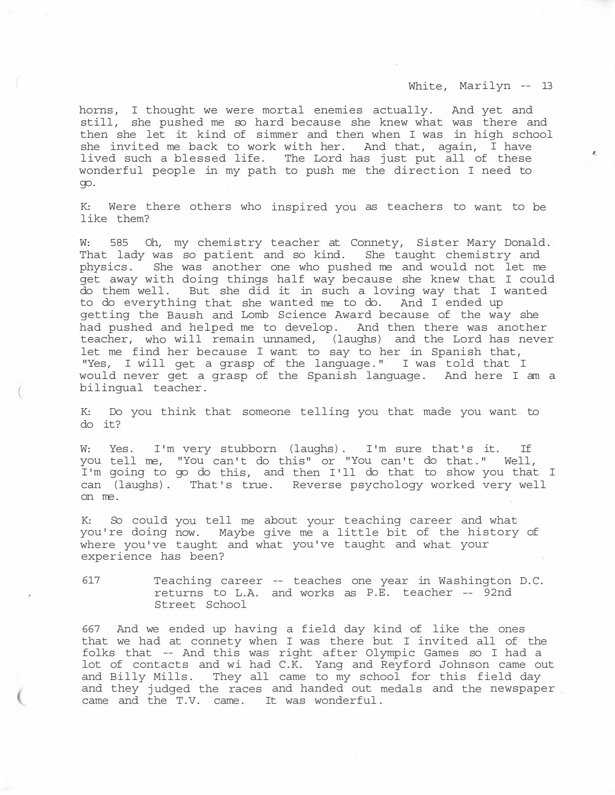$\mathbf{Z}_i$ 

horns, I thought we were mortal enemies actually. And yet and still, she pushed me so hard because she knew what was there and then she let it kind of simmer and then when I was in high school she invited me back to work with her. And that, again, I have lived such a blessed life. The Lord has just put all of these wonderful people in my path to push me the direction I need to go.

K: Were there others who inspired you as teachers to want to be like them?

W: 585 Oh, my chemistry teacher at Connety, Sister Mary Donald. That lady was so patient and so kind. She taught chemistry and physics. She was another one who pushed me and would not let me get away with doing things half way because she knew that I could do them well. But she did it in such a loving way that I wanted to do everything that she wanted me to do. And I ended up getting the Baush and Lomb Science Award because of the way she had pushed and helped me to develop. And then there was another teacher, who will remain unnamed, (laughs) and the Lord has never let me find her because I want to say to her in Spanish that, "Yes, I will get a grasp of the language." I was told that I would never get a grasp of the Spanish language. And here I am a bilingual teacher.

K: Do you think that someone telling you that made you want to do it?

W: Yes. I'm very stubborn (laughs). I'm sure that's it. If you tell me, "You can't do this" or "You can't do that." Well, I'm going to go do this, and then I'll do that to show you that I can (laughs). That's true. Reverse psychology worked very well on me.

K: So could you tell me about your teaching career and what you're doing now. Maybe give me a little bit of the history of where you've taught and what you've taught and what your experience has been?

617 Teaching career -- teaches one year in Washington D.C. returns to L.A. and works as P.E. teacher -- 92nd Street School

667 And we ended up having a field day kind of like the ones that we had at connety when I was there but I invited all of the folks that -- And this was right after Olympic Games so I had a lot of contacts and wi had C.K. Yang and Reyford Johnson came out and Billy Mills. They all came to my school for this field day and they judged the races and handed out medals and the newspaper came and the T.V. came. It was wonderful.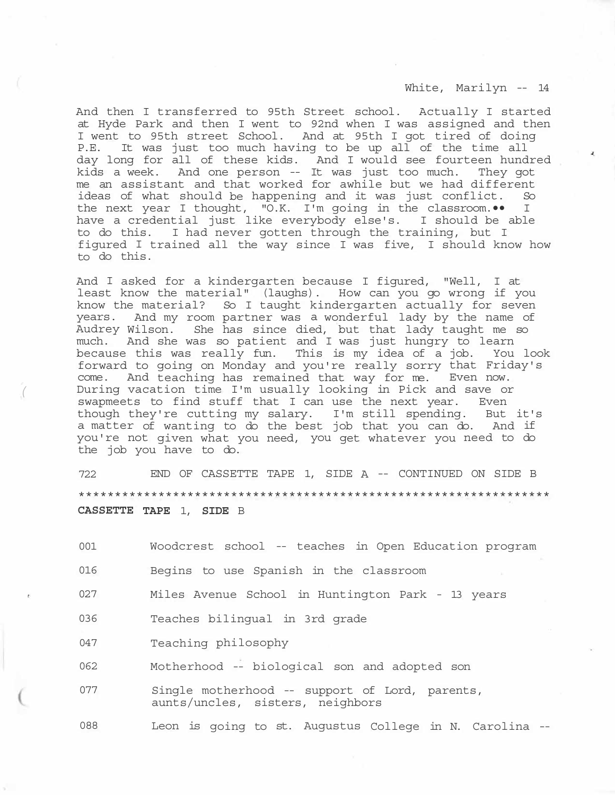And then I transferred to 95th Street school. Actually I started at Hyde Park and then I went to 92nd when I was assigned and then I went to 95th street School. And at 95th I got tired of doing P.E. It was just too much having to be up all of the time all day long for all of these kids. And I would see fourteen hundred kids a week. And one person -- It was just too much. They got me an assistant and that worked for awhile but we had different ideas of what should be happening and it was just conflict. So the next year I thought, "O.K. I'm going in the classroom.•• I have a credential just like everybody else's. I should be able to do this. I had never gotten through the training, but I figured I trained all the way since I was five, I should know how to do this.

And I asked for a kindergarten because I figured, "Well, I at least know the material" (laughs). How can you go wrong if you know the material? So I taught kindergarten actually for seven years. And my room partner was a wonderful lady by the name of Audrey Wilson. She has since died, but that lady taught me so much. And she was so patient and I was just hungry to learn because this was really fun. This is my idea of a job. You look forward to going on Monday and you're really sorry that Friday's come. And teaching has remained that way for me. Even now. During vacation time I'm usually looking in Pick and save or swapmeets to find stuff that I can use the next year. Even though they're cutting my salary. I'm still spending. But it's a matter of wanting to do the best job that you can do. And if you're not given what you need, you get whatever you need to do the job you have to do.

*(* 

722 END OF CASSETTE TAPE 1, SIDE A -- CONTINUED ON SIDE B \*\*\*\*\*\*\*\*\*\*\*\*\*\*\*\*\*\*\*\*\*\*\*\*\*\*\*\*\*\*\*\*\*\*\*\*\*\*\*\*\*\*\*\*\*\*\*\*\*\*\*\*\*\*\*\*\*\*\*\*\*\*\*\*\* **CASSETTE TAPE** 1, **SIDE** B

| 001 | Woodcrest school -- teaches in Open Education program                              |  |  |
|-----|------------------------------------------------------------------------------------|--|--|
| 016 | Begins to use Spanish in the classroom                                             |  |  |
| 027 | Miles Avenue School in Huntington Park - 13 years                                  |  |  |
| 036 | Teaches bilingual in 3rd grade                                                     |  |  |
| 047 | Teaching philosophy                                                                |  |  |
| 062 | Motherhood -- biological son and adopted son                                       |  |  |
| 077 | Single motherhood -- support of Lord, parents,<br>aunts/uncles, sisters, neighbors |  |  |
|     |                                                                                    |  |  |

088 Leon is going to st. Augustus College in N. Carolina --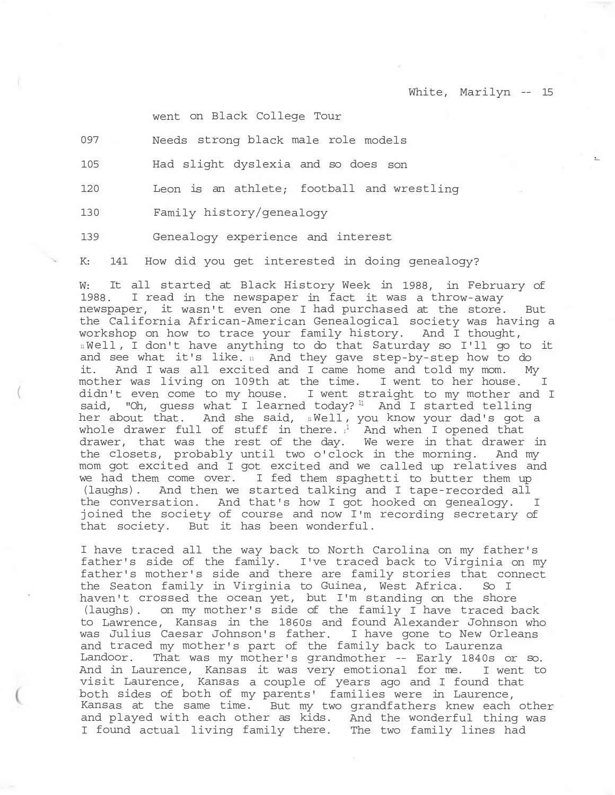went on Black College Tour

| 097 | Needs strong black male role models |
|-----|-------------------------------------|
|-----|-------------------------------------|

105 Had slight dyslexia and so does son

120 Leon is an athlete; football and wrestling

130 Family history/genealogy

(

139 Genealogy experience and interest

K: 141 How did you get interested in doing genealogy?

W: It all started at Black History Week in 1988, in February of 1988. I read in the newspaper in fact it was a throw-away newspaper, it wasn't even one I had purchased at the store. But the California African-American Genealogical society was having a workshop on how to trace your family history. And I thought, <sup>11</sup> Well, I don't have anything to do that Saturday so I'll go to it and see what it's like. 11 And they gave step-by-step how to do it. And I was all excited and I came home and told my mom. My mother was living on 109th at the time. I went to her house. I didn't even come to my house. I went straight to my mother and I said, "Oh, guess what I learned today?  $11$  And I started telling her about that. And she said, <sup>11</sup> Well, you know your dad's got a whole drawer full of stuff in there.  $1^1$  And when I opened that drawer, that was the rest of the day. We were in that drawer in the closets, probably until two o'clock in the morning. And my mom got excited and I got excited and we called up relatives and we had them come over. I fed them spaghetti to butter them up (laughs). And then we started talking and I tape-recorded all the conversation. And that's how I got hooked on genealogy. I joined the society of course and now I'm recording secretary of that society. But it has been wonderful.

I have traced all the way back to North Carolina on my father's father's side of the family. I've traced back to Virginia on my father's mother's side and there are family stories that connect the Seaton family in Virginia to Guinea, West Africa. So I haven't crossed the ocean yet, but I'm standing on the shore (laughs). on my mother's side of the family I have traced back to Lawrence, Kansas in the 1860s and found Alexander Johnson who was Julius Caesar Johnson's father. I have gone to New Orleans and traced my mother's part of the family back to Laurenza Landoor. That was my mother's grandmother -- Early 1840s or so. And in Laurence, Kansas it was very emotional for me. I went to visit Laurence, Kansas a couple of years ago and I found that both sides of both of my parents' families were in Laurence, Kansas at the same time. But my two grandfathers knew each other and played with each other as kids. And the wonderful thing was I found actual living family there. The two family lines had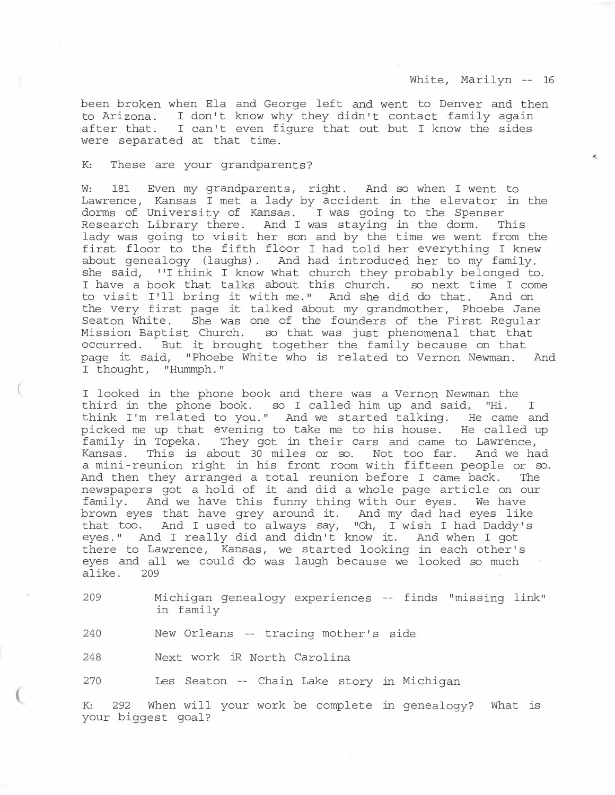been broken when Ela and George left and went to Denver and then to Arizona. I don't know why they didn't contact family again after that. I can't even figure that out but I know the sides were separated at that time.

#### K: These are your grandparents?

W: 181 Even my grandparents, right. And so when I went to Lawrence, Kansas I met a lady by accident in the elevator in the dorms of University of Kansas. I was going to the Spenser Research Library there. And I was staying in the dorm. This lady was going to visit her son and by the time we went from the first floor to the fifth floor I had told her everything I knew about genealogy (laughs). And had introduced her to my family. she said, ''I think I know what church they probably belonged to. I have a book that talks about this church. so next time I come to visit I'll bring it with me." And she did do that. And on the very first page it talked about my grandmother, Phoebe Jane Seaton White. She was one of the founders of the First Regular Mission Baptist Church. so that was just phenomenal that that occurred. But it brought together the family because on that page it said, "Phoebe White who is related to Vernon Newman. And I thought, "Hummph."

I looked in the phone book and there was a Vernon Newman the third in the phone book. so I called him up and said, "Hi. I think I'm related to you." And we started talking. He came and picked me up that evening to take me to his house. He called up family in Topeka. They got in their cars and came to Lawrence, Kansas. This is about 30 miles or so. Not too far. And we had a mini-reunion right in his front room with fifteen people or so. And then they arranged a total reunion before I came back. The newspapers got a hold of it and did a whole page article on our family. And we have this funny thing with our eyes. We have brown eyes that have grey around it. And my dad had eyes like that too. And I used to always say, "Oh, I wish I had Daddy's eyes." And I really did and didn't know it. And when I got there to Lawrence, Kansas, we started looking in each other's eyes and all we could do was laugh because we looked so much alike. 209

209 Michigan genealogy experiences -- finds "missing link" in family

240 New Orleans -- tracing mother's side

248 Next work iR North Carolina

270 Les Seaton -- Chain Lake story in Michigan

K: 292 When will your work be complete in genealogy? What is your biggest goal?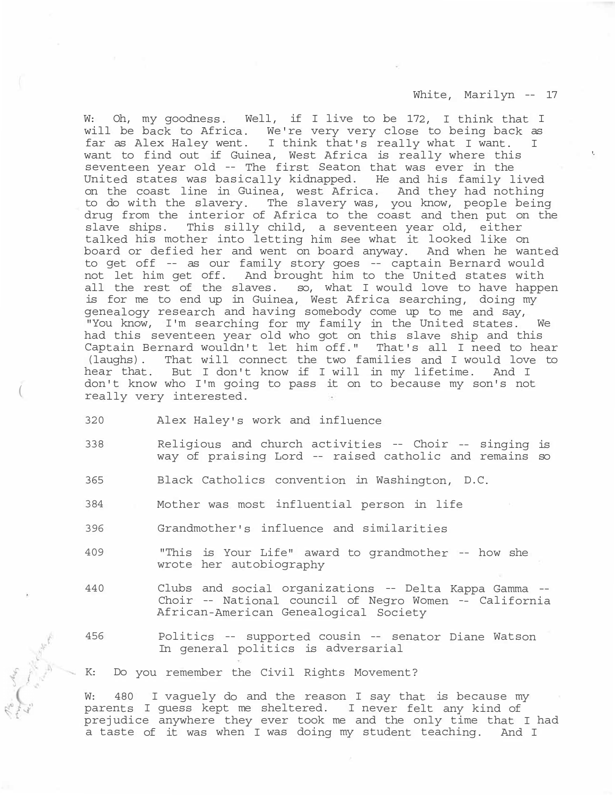W: Oh, my goodness. Well, if I live to be 172, I think that I will be back to Africa. We're very very close to being back as far as Alex Haley went. I think that's really what I want. I want to find out if Guinea, West Africa is really where this seventeen year old -- The first Seaton that was ever in the United states was basically kidnapped. He and his family lived on the coast line in Guinea, west Africa. And they had nothing to do with the slavery. The slavery was, you know, people being drug from the interior of Africa to the coast and then put on the slave ships. This silly child, a seventeen year old, either talked his mother into letting him see what it looked like on board or defied her and went on board anyway. And when he wanted to get off -- as our family story goes -- captain Bernard would not let him get off. And brought him to the United states with all the rest of the slaves. so, what I would love to have happen is for me to end up in Guinea, West Africa searching, doing my genealogy research and having somebody come up to me and say, "You know, I'm searching for my family in the United states. We had this seventeen year old who got on this slave ship and this Captain Bernard wouldn't let him off." That's all I need to hear (laughs). That will connect the two families and I would love to hear that. But I don't know if I will in my lifetime. And I don't know who I'm going to pass it on to because my son's not really very interested.

- 320 Alex Haley's work and influence
- 338 Religious and church activities -- Choir -- singing is way of praising Lord -- raised catholic and remains so
- 365 Black Catholics convention in Washington, D.C.
- 384 Mother was most influential person in life
- 396 Grandmother's influence and similarities
- 409 "This is Your Life" award to grandmother -- how she wrote her autobiography
- 440 Clubs and social organizations -- Delta Kappa Gamma -- Choir -- National council of Negro Women -- California African-American Genealogical Society
- 456 Politics -- supported cousin -- senator Diane Watson In general politics is adversarial

K: Do you remember the Civil Rights Movement?

W: 480 I vaquely do and the reason I say that is because my parents I guess kept me sheltered. I never felt any kind of prejudice anywhere they ever took me and the only time that I had a taste of it was when I was doing my student teaching. And I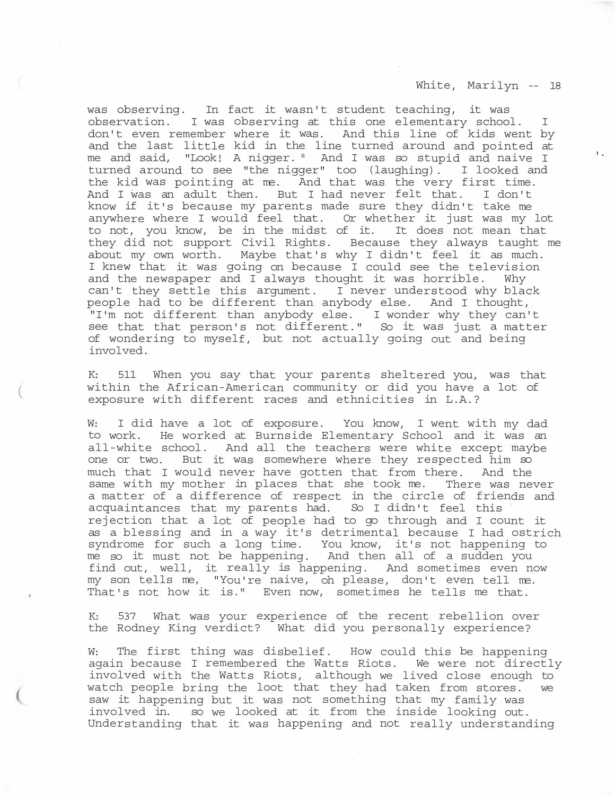was observing. In fact it wasn't student teaching, it was observation. I was observing at this one elementary school. I don't even remember where it was. And this line of kids went by and the last little kid in the line turned around and pointed at me and said, "Look! A nigger." And I was so stupid and naive I '<sup>·</sup> turned around to see "the nigger" too (laughing). I looked and the kid was pointing at me. And that was the very first time. And I was an adult then. But I had never felt that. I don't know if it's because my parents made sure they didn't take me anywhere where I would feel that. Or whether it just was my lot to not, you know, be in the midst of it. It does not mean that they did not support Civil Rights. Because they always taught me about my own worth. Maybe that's why I didn't feel it as much. I knew that it was going on because I could see the television and the newspaper and I always thought it was horrible. Why can't they settle this argument. I never understood why black people had to be different than anybody else. And I thought, "I'm not different than anybody else. I wonder why they can't see that that person's not different." So it was just a matter of wondering to myself, but not actually going out and being involved.

K: 511 When you say that your parents sheltered you, was that within the African-American community or did you have a lot of exposure with different races and ethnicities in L.A.? (

W: I did have a lot of exposure. You know, I went with my dad to work. He worked at Burnside Elementary School and it was an all-white school. And all the teachers were white except maybe one or two. But it was somewhere where they respected him so much that I would never have gotten that from there. And the same with my mother in places that she took me. There was never a matter of a difference of respect in the circle of friends and acquaintances that my parents had. So I didn't feel this rejection that a lot of people had to go through and I count it as a blessing and in a way it's detrimental because I had ostrich syndrome for such a long time. You know, it's not happening to me so it must not be happening. And then all of a sudden you find out, well, it really is happening. And sometimes even now my son tells me, "You're naive, oh please, don't even tell me. That's not how it is." Even now, sometimes he tells me that.

K: 537 What was your experience of the recent rebellion over the Rodney King verdict? What did you personally experience?

W: The first thing was disbelief. How could this be happening again because I remembered the Watts Riots. We were not directly involved with the Watts Riots, although we lived close enough to watch people bring the loot that they had taken from stores. we saw it happening but it was not something that my family was involved in. so we looked at it from the inside looking out. Understanding that it was happening and not really understanding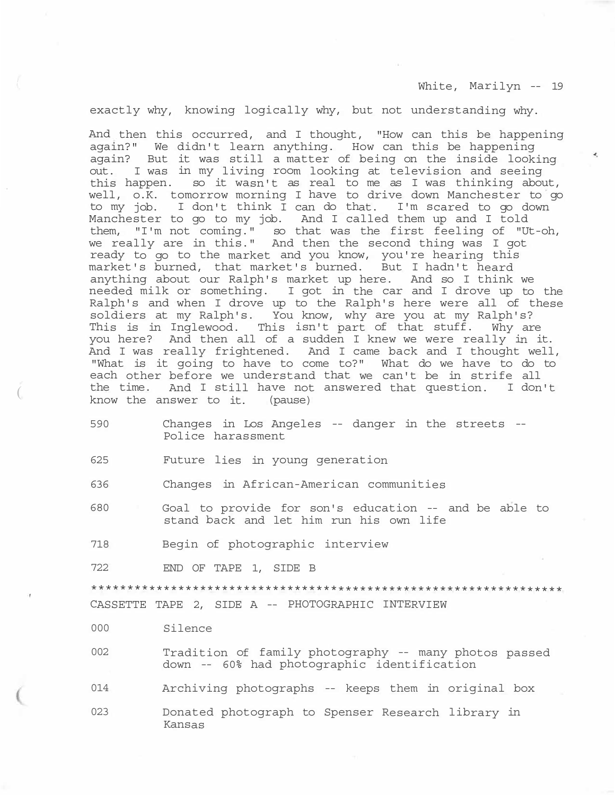$\mathcal{A}_i$ 

exactly why, knowing logically why, but not understanding why.

And then this occurred, and I thought, "How can this be happening again?" We didn't learn anything. How can this be happening again? But it was still a matter of being on the inside looking out. I was in my living room looking at television and seeing this happen. so it wasn't as real to me as I was thinking about, well, o.K. tomorrow morning I have to drive down Manchester to go to my job. I don't think I can do that. I'm scared to go down Manchester to go to my job. And I called them up and I told them, "I'm not coming." so that was the first feeling of "Ut-oh, we really are in this." And then the second thing was I got ready to go to the market and you know, you're hearing this market's burned, that market's burned. But I hadn't heard anything about our Ralph's market up here. And so I think we needed milk or something. I got in the car and I drove up to the Ralph's and when I drove up to the Ralph's here were all of these soldiers at my Ralph's. You know, why are you at my Ralph's? This is in Inglewood. This isn't part of that stuff. Why are you here? And then all of a sudden I knew we were really in it. And I was really frightened. And I came back and I thought well, "What is it going to have to come to?" What do we have to do to each other before we understand that we can't be in strife all the time. And I still have not answered that question. I don't know the answer to it. (pause) (

590 Changes in Los Angeles -- danger in the streets -- Police harassment

625 Future lies in young generation

636 Changes in African-American communities

- 680 Goal to provide for son's education -- and be able to stand back and let him run his own life
- 718 Begin of photographic interview

722 END OF TAPE 1, SIDE B

\*\*\*\*\*\*\*\*\*\*\*\*\*\*\*\*\*\*\*\*\*\*\*\*\*\*\*\*\*\*\*\*\*\*\*\*\*\*\*\*\*\*\*\*\*\*\*\*\*\*\*\*\*\*\*\*\*\*\*\*\*\*\*\*\*

CASSETTE TAPE 2, SIDE A -- PHOTOGRAPHIC INTERVIEW

000 Silence

- 002 Tradition of family photography -- many photos passed down -- 60% had photographic identification
- 014 Archiving photographs -- keeps them in original box
- 023 Donated photograph to Spenser Research library in Kansas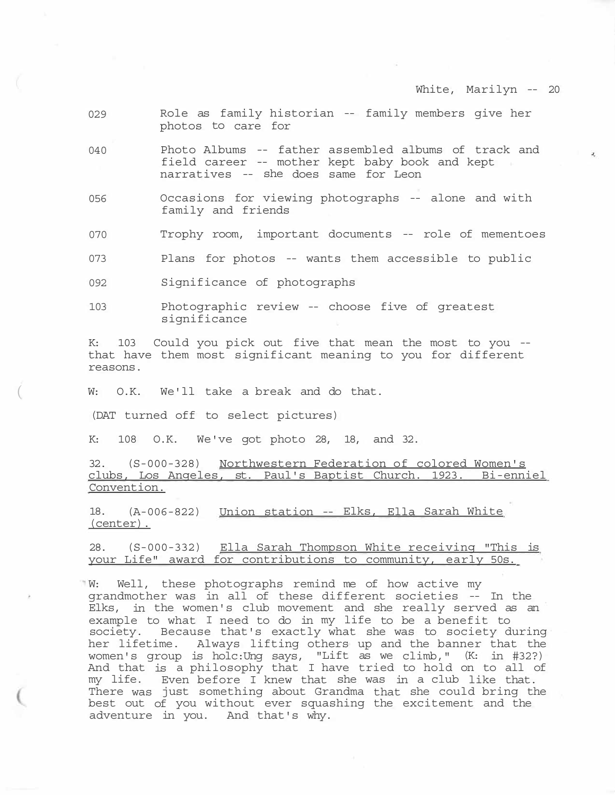- 029 Role as family historian -- family members give her photos to care for
- 040 Photo Albums -- father assembled albums of track and field career -- mother kept baby book and kept narratives -- she does same for Leon
- 056 Occasions for viewing photographs -- alone and with family and friends
- 070 Trophy room, important documents -- role of mementoes
- 073 Plans for photos -- wants them accessible to public
- 092 Significance of photographs
- 103 Photographic review -- choose five of greatest significance

K: 103 Could you pick out five that mean the most to you - that have them most significant meaning to you for different reasons.

W: O.K. We'll take a break and do that.

(DAT turned off to select pictures)

K: 108 O.K. We've got photo 28, 18, and 32.

32. (S-000-328) Northwestern Federation of colored Women's clubs, Los Angeles, st. Paul's Baptist Church. 1923. Bi-enniel Convention.

18. (A-006-822) Union station -- Elks, Ella Sarah White (center).

28. (S-000-332) Ella Sarah Thompson White receiving "This is your Life" award for contributions to community, early 50s.

W: Well, these photographs remind me of how active my grandmother was in all of these different societies -- In the Elks, in the women's club movement and she really served as an example to what I need to do in my life to be a benefit to society. Because that's exactly what she was to society during her lifetime. Always lifting others up and the banner that the women's group is holc:Ung says, "Lift as we climb," (K: in #32?) And that is a philosophy that I have tried to hold on to all of my life. Even before I knew that she was in a club like that. There was just something about Grandma that she could bring the best out of you without ever squashing the excitement and the adventure in you. And that's why.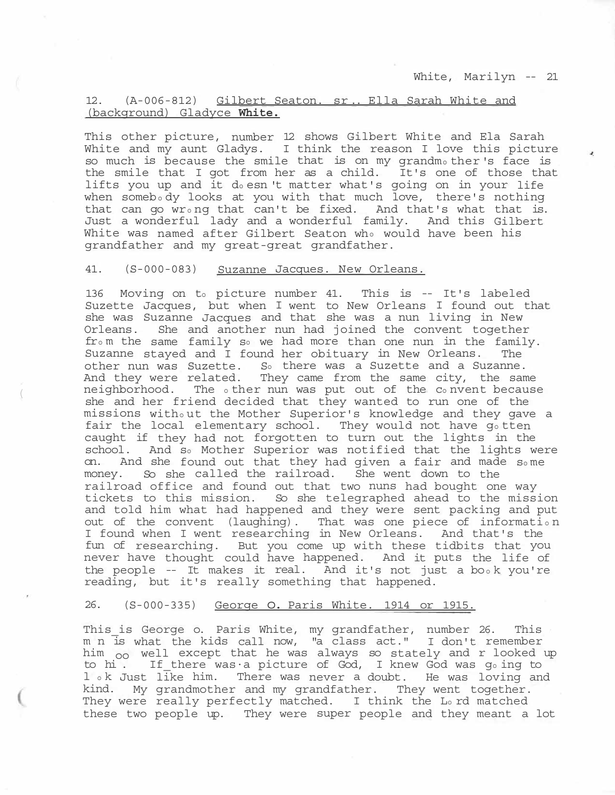# 12. (A-006-812) Gilbert Seaton. sr .. Ella Sarah White and (background) Gladyce **White.**

This other picture, number 12 shows Gilbert White and Ela Sarah White and my aunt Gladys. I think the reason I love this picture so much is because the smile that is on my grandmo ther's face is the smile that I got from her as a child. It's one of those that lifts you up and it do esn 't matter what's going on in your life when somebody looks at you with that much love, there's nothing that can go wro ng that can't be fixed. And that's what that is. Just a wonderful lady and a wonderful family. And this Gilbert White was named after Gilbert Seaton who would have been his grandfather and my great-great grandfather.

## 41. (S-000-083) Suzanne Jacques. New Orleans.

 $($ 

136 Moving on to picture number 41. This is -- It's labeled Suzette Jacques, but when I went to New Orleans I found out that she was Suzanne Jacques and that she was a nun living in New Orleans. She and another nun had joined the convent together from the same family so we had more than one nun in the family. Suzanne stayed and I found her obituary in New Orleans. The other nun was Suzette. So there was a Suzette and a Suzanne. And they were related. They came from the same city, the same neighborhood. The o ther nun was put out of the co nvent because she and her friend decided that they wanted to run one of the missions witho ut the Mother Superior's knowledge and they gave a fair the local elementary school. They would not have go tten caught if they had not forgotten to turn out the lights in the school. And so Mother Superior was notified that the lights were on. And she found out that they had given a fair and made so me money. So she called the railroad. She went down to the railroad office and found out that two nuns had bought one way tickets to this mission. So she telegraphed ahead to the mission and told him what had happened and they were sent packing and put out of the convent (laughing). That was one piece of informatio n I found when I went researching in New Orleans. And that's the fun of researching. But you come up with these tidbits that you never have thought could have happened. And it puts the life of the people  $-$ - It makes it real. And it's not just a book you're reading, but it's really something that happened.

## 26. (S-000-335) George o. Paris White. 1914 or 1915.

This\_is George o. Paris White, my grandfather, number 26. This m n is what the kids call now, "a class act." I don't remember him <sub>oo</sub> well except that he was always so stately and r looked up to hi . If\_there was·a picture of God, I knew God was go ing to l ok Just like him. There was never a doubt. He was loving and kind. My grandmother and my grandfather. They went together. They were really perfectly matched. I think the Lord matched these two people up. They were super people and they meant a lot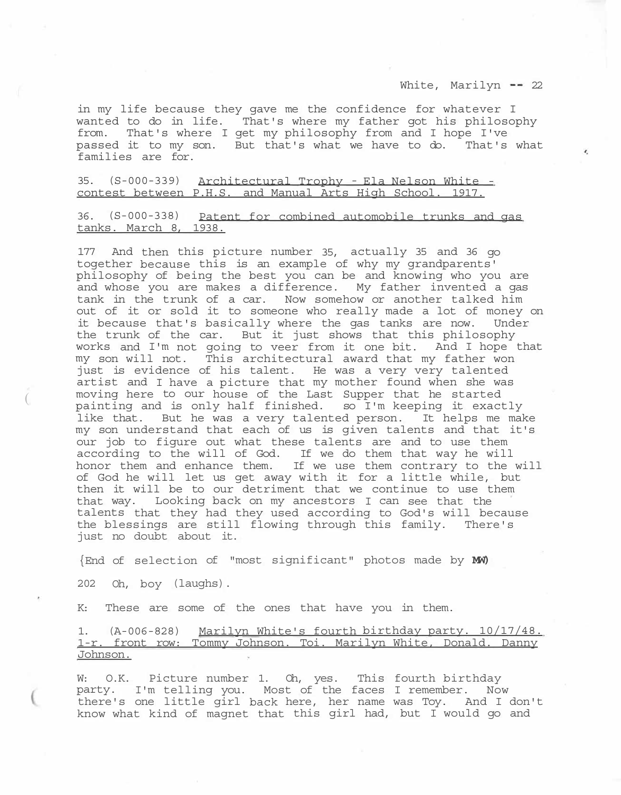in my life because they gave me the confidence for whatever I wanted to do in life. That's where my father got his philosophy from. That's where I get my philosophy from and I hope I've passed it to my son. But that's what we have to do. That's what families are for.

35. (S-000-339) Architectural Trophy - Ela Nelson White - contest between P.H.S. and Manual Arts High School. 1917.

36. (S-000-338) Patent for combined automobile trunks and gas tanks. March 8, 1938.

177 And then this picture number 35, actually 35 and 36 go together because this is an example of why my grandparents' philosophy of being the best you can be and knowing who you are and whose you are makes a difference. My father invented a gas tank in the trunk of a car. Now somehow or another talked him out of it or sold it to someone who really made a lot of money on it because that's basically where the gas tanks are now. Under the trunk of the car. But it just shows that this philosophy works and I'm not going to veer from it one bit. And I hope that my son will not. This architectural award that my father won just is evidence of his talent. He was a very very talented artist and I have a picture that my mother found when she was moving here to our house of the Last Supper that he started painting and is only half finished. so I'm keeping it exactly like that. But he was a very talented person. It helps me make my son understand that each of us is given talents and that it's our job to figure out what these talents are and to use them according to the will of God. If we do them that way he will honor them and enhance them. If we use them contrary to the will of God he will let us get away with it for a little while, but then it will be to our detriment that we continue to use them that way. Looking back on my ancestors I can see that the talents that they had they used according to God's will because the blessings are still flowing through this family. There's just no doubt about it.

{End of selection of "most significant" photos made by **MW)** 

202 Oh, boy (laughs).

 $\overline{(\ }$ 

K: These are some of the ones that have you in them.

1. (A-006-828) Marilyn White's fourth birthday party. 10/17/48. 1-r. front row: Tommy Johnson. Toi. Marilyn White, Donald. Danny Johnson.

W: O.K. Picture number 1. Oh, yes. This fourth birthday party. I'm telling you. Most of the faces I remember. Now there's one little girl back here, her name was Toy. And I don't know what kind of magnet that this girl had, but I would go and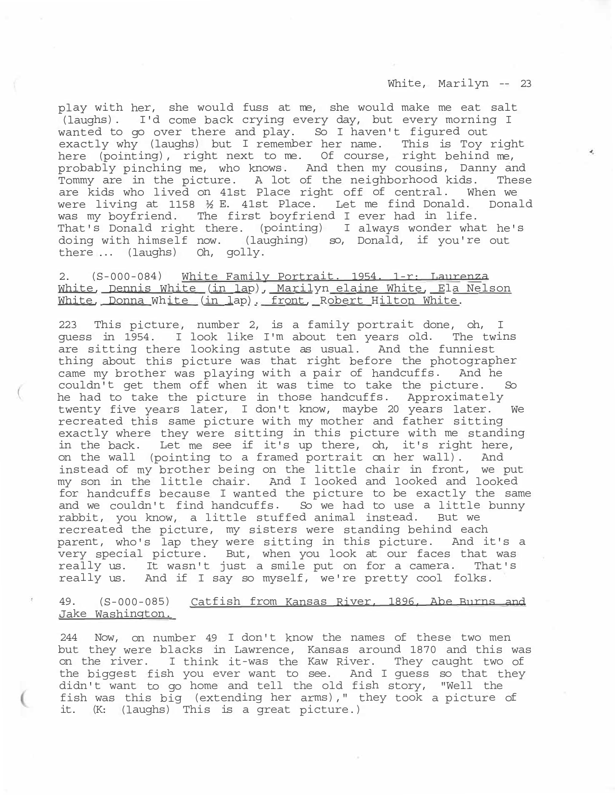play with her, she would fuss at me, she would make me eat salt (laughs). I'd come back crying every day, but every morning I wanted to go over there and play. So I haven't figured out exactly why (laughs) but I remember her name. This is Toy right here (pointing), right next to me. Of course, right behind me, probably pinching me, who knows. And then my cousins, Danny and Tommy are in the picture. A lot of the neighborhood kids. These are kids who lived on 41st Place right off of central. When we were living at 1158 ½ E. 41st Place. Let me find Donald. Donald was my boyfriend. The first boyfriend I ever had in life. That's Donald right there. (pointing) I always wonder what he's doing with himself now. (laughing) so, Donald, if you're out there ... (laughs) Oh, golly.

# 2. (S-000-084) White Family Portrait. 1954. 1-r: Laurenza White, Dennis White (in lap), Marilyn elaine White, Ela Nelson White, Donna White (in lap). front, Robert Hilton White.

223 This picture, number 2, is a family portrait done, oh, I guess in 1954. I look like I'm about ten years old. The twins are sitting there looking astute as usual. And the funniest thing about this picture was that right before the photographer came my brother was playing with a pair of handcuffs. And he couldn't get them off when it was time to take the picture. So he had to take the picture in those handcuffs. Approximately twenty five years later, I don't know, maybe 20 years later. We recreated this same picture with my mother and father sitting exactly where they were sitting in this picture with me standing in the back. Let me see if it's up there, oh, it's right here, on the wall (pointing to a framed portrait on her wall). And instead of my brother being on the little chair in front, we put my son in the little chair. And I looked and looked and looked for handcuffs because I wanted the picture to be exactly the same and we couldn't find handcuffs. So we had to use a little bunny rabbit, you know, a little stuffed animal instead. But we recreated the picture, my sisters were standing behind each parent, who's lap they were sitting in this picture. And it's a very special picture. But, when you look at our faces that was really us. It wasn't just a smile put on for a camera. That's really us. And if I say so myself, we're pretty cool folks.

# 49. (S-000-085) Catfish from Kansas River, 1896, Abe Burns and Jake Washington.

244 Now, on number 49 I don't know the names of these two men but they were blacks in Lawrence, Kansas around 1870 and this was on the river. I think it-was the Kaw River. They caught two of the biggest fish you ever want to see. And I guess so that they didn't want to go home and tell the old fish story, "Well the fish was this big (extending her arms)," they took a picture of it. (K: (laughs) This is a great picture.)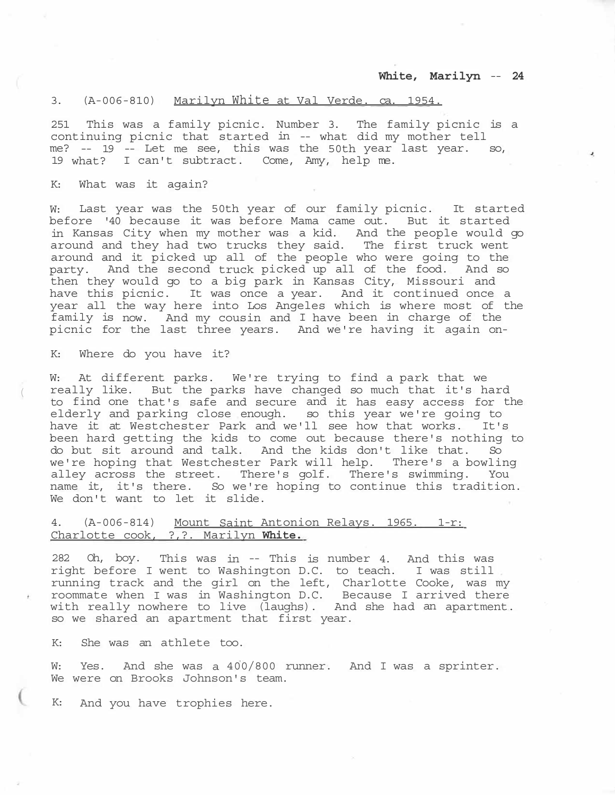## 3. (A-006-810) Marilyn White at Val Verde. ca. 1954.

251 This was a family picnic. Number 3. The family picnic is a continuing picnic that started in -- what did my mother tell me? -- 19 -- Let me see, this was the 50th year last year. so, 19 what? I can't subtract. Come, Amy, help me.

### K: What was it again?

W: Last year was the 50th year of our family picnic. It started before '40 because it was before Mama came out. But it started in Kansas City when my mother was a kid. And the people would go around and they had two trucks they said. The first truck went around and it picked up all of the people who were going to the party. And the second truck picked up all of the food. And so then they would go to a big park in Kansas City, Missouri and have this picnic. It was once a year. And it continued once a year all the way here into Los Angeles which is where most of the family is now. And my cousin and I have been in charge of the picnic for the last three years. And we're having it again on-

K: Where do you have it?

(

W: At different parks. We're trying to find a park that we really like. But the parks have changed so much that it's hard to find one that's safe and secure and it has easy access for the elderly and parking close enough. so this year we're going to have it at Westchester Park and we'll see how that works. It's been hard getting the kids to come out because there's nothing to do but sit around and talk. And the kids don't like that. So we're hoping that Westchester Park will help. There's a bowling alley across the street. There's golf. There's swimming. You name it, it's there. So we're hoping to continue this tradition. We don't want to let it slide.

# 4. (A-006-814) Mount Saint Antonion Relays. 1965. 1-r: Charlotte cook, ?,?. Marilyn **White.**

282 Oh, boy. This was in -- This is number 4. And this was right before I went to Washington D.C. to teach. I was still running track and the girl on the left, Charlotte Cooke, was my roommate when I was in Washington D.C. Because I arrived there with really nowhere to live (laughs). And she had an apartment. so we shared an apartment that first year.

K: She was an athlete too.

W: Yes. And she was a 400/800 runner. And I was a sprinter. We were on Brooks Johnson's team.

K: And you have trophies here.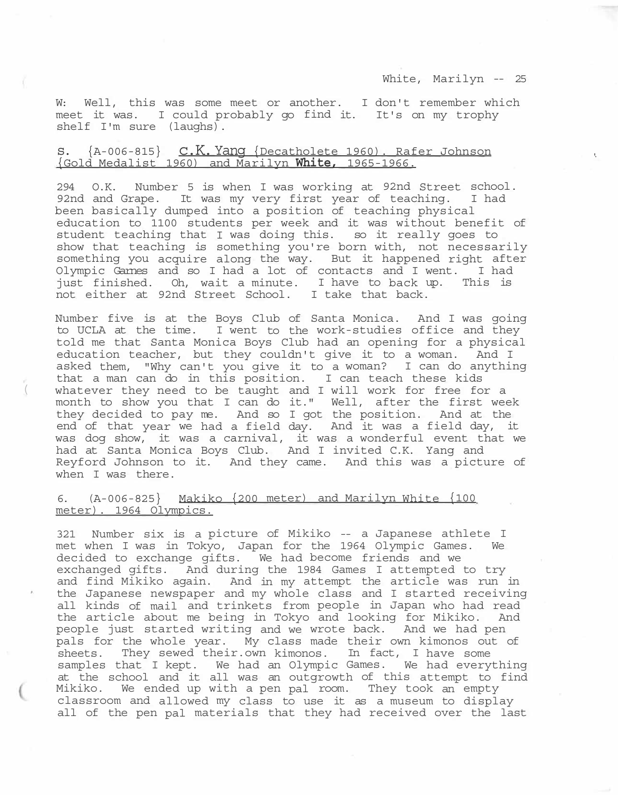W: Well, this was some meet or another. I don't remember which meet it was. I could probably go find it. It's on my trophy shelf I'm sure (laughs).

# s. {A-006-815} c.K.Yang {Decatholete 1960). Rafer Johnson {Gold Medalist 1960) and Marilyn **White,** 1965-1966. '·

294 O.K. Number 5 is when I was working at 92nd Street school. 92nd and Grape. It was my very first year of teaching. I had been basically dumped into a position of teaching physical education to 1100 students per week and it was without benefit of student teaching that I was doing this. so it really goes to show that teaching is something you're born with, not necessarily something you acquire along the way. But it happened right after Olympic Garnes and so I had a lot of contacts and I went. I had<br>just finished. Oh, wait a minute. I have to back up. This is just finished. Oh, wait a minute. I have to back up. not either at 92nd Street School. I take that back.

Number five is at the Boys Club of Santa Monica. And I was going to UCLA at the time. I went to the work-studies office and they told me that Santa Monica Boys Club had an opening for a physical education teacher, but they couldn't give it to a woman. And I asked them, "Why can't you give it to a woman? I can do anything that a man can do in this position. I can teach these kids whatever they need to be taught and I will work for free for a month to show you that I can do it." Well, after the first week they decided to pay me. And so I got the position. And at the end of that year we had a field day. And it was a field day, it was dog show, it was a carnival, it was a wonderful event that we had at Santa Monica Boys Club. And I invited C.K. Yang and Reyford Johnson to it. And they came. And this was a picture of when I was there.

## 6. (A-006-825} Makiko {200 meter) and Marilyn White {100 meter). 1964 Olympics.

 $\left($ 

321 Number six is a picture of Mikiko -- a Japanese athlete I met when I was in Tokyo, Japan for the 1964 Olympic Games. We decided to exchange gifts. We had become friends and we exchanged gifts. And during the 1984 Games I attempted to try and find Mikiko again. And in my attempt the article was run in the Japanese newspaper and my whole class and I started receiving all kinds of mail and trinkets from people in Japan who had read<br>the article about me being in Tokyo and looking for Mikiko. And the article about me being in Tokyo and looking for Mikiko. people just started writing and we wrote back. And we had pen pals for the whole year. My class made their own kimonos out of sheets. They sewed their.own kimonos. In fact, I have some samples that I kept. We had an Olympic Games. We had everything at the school and it all was an outgrowth of this attempt to find Mikiko. We ended up with a pen pal room. They took an empty classroom and allowed my class to use it as a museum to display all of the pen pal materials that they had received over the last